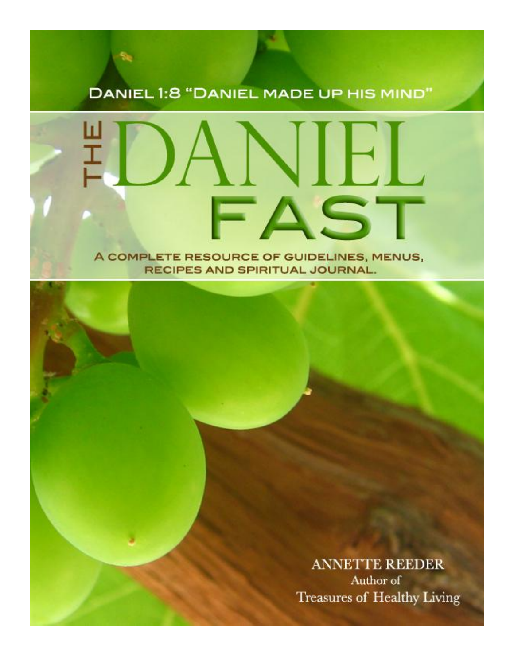### DANIEL 1:8 "DANIEL MADE UP HIS MIND"

# Щ FA!  $\blacksquare$

A COMPLETE RESOURCE OF GUIDELINES, MENUS, RECIPES AND SPIRITUAL JOURNAL.

> **ANNETTE REEDER** Author of Treasures of Healthy Living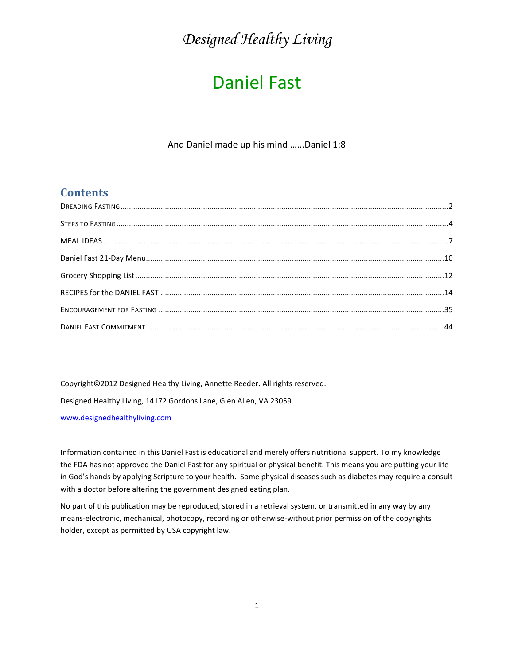# Daniel Fast

#### And Daniel made up his mind …...Daniel 1:8

### **Contents**

Copyright©2012 Designed Healthy Living, Annette Reeder. All rights reserved.

Designed Healthy Living, 14172 Gordons Lane, Glen Allen, VA 23059

[www.designedhealthyliving.com](http://www.designedhealthyliving.com/)

Information contained in this Daniel Fast is educational and merely offers nutritional support. To my knowledge the FDA has not approved the Daniel Fast for any spiritual or physical benefit. This means you are putting your life in God's hands by applying Scripture to your health. Some physical diseases such as diabetes may require a consult with a doctor before altering the government designed eating plan.

No part of this publication may be reproduced, stored in a retrieval system, or transmitted in any way by any means-electronic, mechanical, photocopy, recording or otherwise-without prior permission of the copyrights holder, except as permitted by USA copyright law.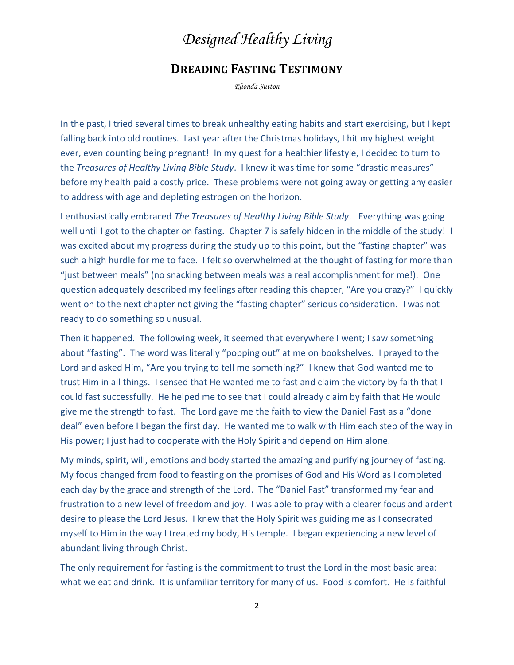### **DREADING FASTING TESTIMONY**

*Rhonda Sutton*

<span id="page-2-0"></span>In the past, I tried several times to break unhealthy eating habits and start exercising, but I kept falling back into old routines. Last year after the Christmas holidays, I hit my highest weight ever, even counting being pregnant! In my quest for a healthier lifestyle, I decided to turn to the *Treasures of Healthy Living Bible Study*. I knew it was time for some "drastic measures" before my health paid a costly price. These problems were not going away or getting any easier to address with age and depleting estrogen on the horizon.

I enthusiastically embraced *The Treasures of Healthy Living Bible Study*. Everything was going well until I got to the chapter on fasting. Chapter 7 is safely hidden in the middle of the study! I was excited about my progress during the study up to this point, but the "fasting chapter" was such a high hurdle for me to face. I felt so overwhelmed at the thought of fasting for more than "just between meals" (no snacking between meals was a real accomplishment for me!). One question adequately described my feelings after reading this chapter, "Are you crazy?" I quickly went on to the next chapter not giving the "fasting chapter" serious consideration. I was not ready to do something so unusual.

Then it happened. The following week, it seemed that everywhere I went; I saw something about "fasting". The word was literally "popping out" at me on bookshelves. I prayed to the Lord and asked Him, "Are you trying to tell me something?" I knew that God wanted me to trust Him in all things. I sensed that He wanted me to fast and claim the victory by faith that I could fast successfully. He helped me to see that I could already claim by faith that He would give me the strength to fast. The Lord gave me the faith to view the Daniel Fast as a "done deal" even before I began the first day. He wanted me to walk with Him each step of the way in His power; I just had to cooperate with the Holy Spirit and depend on Him alone.

My minds, spirit, will, emotions and body started the amazing and purifying journey of fasting. My focus changed from food to feasting on the promises of God and His Word as I completed each day by the grace and strength of the Lord. The "Daniel Fast" transformed my fear and frustration to a new level of freedom and joy. I was able to pray with a clearer focus and ardent desire to please the Lord Jesus. I knew that the Holy Spirit was guiding me as I consecrated myself to Him in the way I treated my body, His temple. I began experiencing a new level of abundant living through Christ.

The only requirement for fasting is the commitment to trust the Lord in the most basic area: what we eat and drink. It is unfamiliar territory for many of us. Food is comfort. He is faithful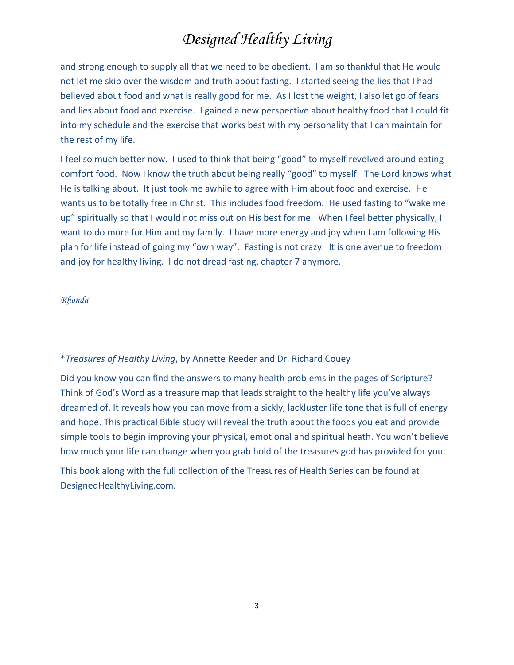and strong enough to supply all that we need to be obedient. I am so thankful that He would not let me skip over the wisdom and truth about fasting. I started seeing the lies that I had believed about food and what is really good for me. As I lost the weight, I also let go of fears and lies about food and exercise. I gained a new perspective about healthy food that I could fit into my schedule and the exercise that works best with my personality that I can maintain for the rest of my life.

I feel so much better now. I used to think that being "good" to myself revolved around eating comfort food. Now I know the truth about being really "good" to myself. The Lord knows what He is talking about. It just took me awhile to agree with Him about food and exercise. He wants us to be totally free in Christ. This includes food freedom. He used fasting to "wake me up" spiritually so that I would not miss out on His best for me. When I feel better physically, I want to do more for Him and my family. I have more energy and joy when I am following His plan for life instead of going my "own way". Fasting is not crazy. It is one avenue to freedom and joy for healthy living. I do not dread fasting, chapter 7 anymore.

*Rhonda*

#### \**Treasures of Healthy Living*, by Annette Reeder and Dr. Richard Couey

Did you know you can find the answers to many health problems in the pages of Scripture? Think of God's Word as a treasure map that leads straight to the healthy life you've always dreamed of. It reveals how you can move from a sickly, lackluster life tone that is full of energy and hope. This practical Bible study will reveal the truth about the foods you eat and provide simple tools to begin improving your physical, emotional and spiritual heath. You won't believe how much your life can change when you grab hold of the treasures god has provided for you.

This book along with the full collection of the Treasures of Health Series can be found at DesignedHealthyLiving.com.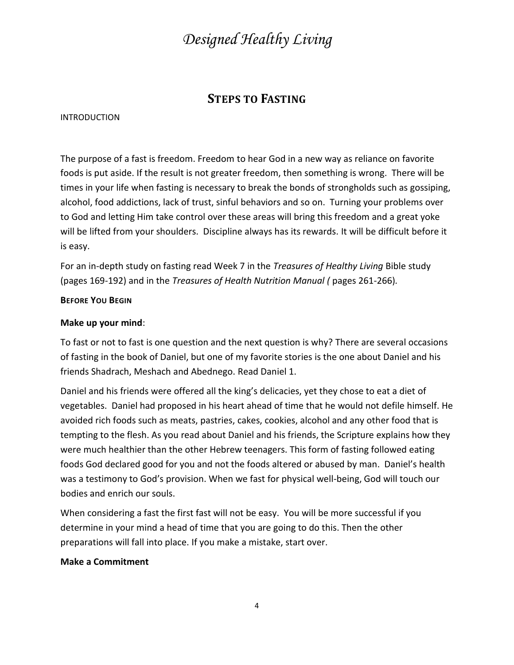### **STEPS TO FASTING**

<span id="page-4-0"></span>INTRODUCTION

The purpose of a fast is freedom. Freedom to hear God in a new way as reliance on favorite foods is put aside. If the result is not greater freedom, then something is wrong. There will be times in your life when fasting is necessary to break the bonds of strongholds such as gossiping, alcohol, food addictions, lack of trust, sinful behaviors and so on. Turning your problems over to God and letting Him take control over these areas will bring this freedom and a great yoke will be lifted from your shoulders. Discipline always has its rewards. It will be difficult before it is easy.

For an in-depth study on fasting read Week 7 in the *Treasures of Healthy Living* Bible study (pages 169-192) and in the *Treasures of Health Nutrition Manual (* pages 261-266)*.*

#### **BEFORE YOU BEGIN**

#### **Make up your mind**:

To fast or not to fast is one question and the next question is why? There are several occasions of fasting in the book of Daniel, but one of my favorite stories is the one about Daniel and his friends Shadrach, Meshach and Abednego. Read Daniel 1.

Daniel and his friends were offered all the king's delicacies, yet they chose to eat a diet of vegetables. Daniel had proposed in his heart ahead of time that he would not defile himself. He avoided rich foods such as meats, pastries, cakes, cookies, alcohol and any other food that is tempting to the flesh. As you read about Daniel and his friends, the Scripture explains how they were much healthier than the other Hebrew teenagers. This form of fasting followed eating foods God declared good for you and not the foods altered or abused by man. Daniel's health was a testimony to God's provision. When we fast for physical well-being, God will touch our bodies and enrich our souls.

When considering a fast the first fast will not be easy. You will be more successful if you determine in your mind a head of time that you are going to do this. Then the other preparations will fall into place. If you make a mistake, start over.

#### **Make a Commitment**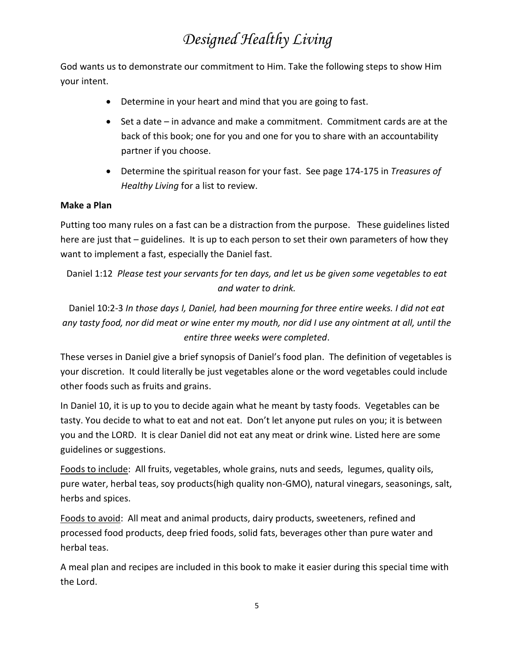God wants us to demonstrate our commitment to Him. Take the following steps to show Him your intent.

- Determine in your heart and mind that you are going to fast.
- Set a date in advance and make a commitment. Commitment cards are at the back of this book; one for you and one for you to share with an accountability partner if you choose.
- Determine the spiritual reason for your fast. See page 174-175 in *Treasures of Healthy Living* for a list to review.

#### **Make a Plan**

Putting too many rules on a fast can be a distraction from the purpose. These guidelines listed here are just that – guidelines. It is up to each person to set their own parameters of how they want to implement a fast, especially the Daniel fast.

Daniel 1:12 *Please test your servants for ten days, and let us be given some vegetables to eat and water to drink.*

Daniel 10:2-3 *In those days I, Daniel, had been mourning for three entire weeks. I did not eat any tasty food, nor did meat or wine enter my mouth, nor did I use any ointment at all, until the entire three weeks were completed*.

These verses in Daniel give a brief synopsis of Daniel's food plan. The definition of vegetables is your discretion. It could literally be just vegetables alone or the word vegetables could include other foods such as fruits and grains.

In Daniel 10, it is up to you to decide again what he meant by tasty foods. Vegetables can be tasty. You decide to what to eat and not eat. Don't let anyone put rules on you; it is between you and the LORD. It is clear Daniel did not eat any meat or drink wine. Listed here are some guidelines or suggestions.

Foods to include:All fruits, vegetables, whole grains, nuts and seeds, legumes, quality oils, pure water, herbal teas, soy products(high quality non-GMO), natural vinegars, seasonings, salt, herbs and spices.

Foods to avoid: All meat and animal products, dairy products, sweeteners, refined and processed food products, deep fried foods, solid fats, beverages other than pure water and herbal teas.

A meal plan and recipes are included in this book to make it easier during this special time with the Lord.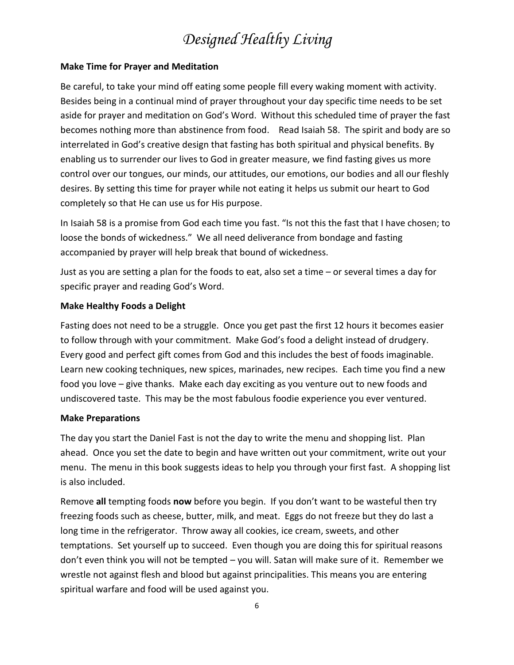#### **Make Time for Prayer and Meditation**

Be careful, to take your mind off eating some people fill every waking moment with activity. Besides being in a continual mind of prayer throughout your day specific time needs to be set aside for prayer and meditation on God's Word. Without this scheduled time of prayer the fast becomes nothing more than abstinence from food. Read Isaiah 58. The spirit and body are so interrelated in God's creative design that fasting has both spiritual and physical benefits. By enabling us to surrender our lives to God in greater measure, we find fasting gives us more control over our tongues, our minds, our attitudes, our emotions, our bodies and all our fleshly desires. By setting this time for prayer while not eating it helps us submit our heart to God completely so that He can use us for His purpose.

In Isaiah 58 is a promise from God each time you fast. "Is not this the fast that I have chosen; to loose the bonds of wickedness." We all need deliverance from bondage and fasting accompanied by prayer will help break that bound of wickedness.

Just as you are setting a plan for the foods to eat, also set a time – or several times a day for specific prayer and reading God's Word.

#### **Make Healthy Foods a Delight**

Fasting does not need to be a struggle. Once you get past the first 12 hours it becomes easier to follow through with your commitment. Make God's food a delight instead of drudgery. Every good and perfect gift comes from God and this includes the best of foods imaginable. Learn new cooking techniques, new spices, marinades, new recipes. Each time you find a new food you love – give thanks. Make each day exciting as you venture out to new foods and undiscovered taste. This may be the most fabulous foodie experience you ever ventured.

#### **Make Preparations**

The day you start the Daniel Fast is not the day to write the menu and shopping list. Plan ahead. Once you set the date to begin and have written out your commitment, write out your menu. The menu in this book suggests ideas to help you through your first fast. A shopping list is also included.

Remove **all** tempting foods **now** before you begin. If you don't want to be wasteful then try freezing foods such as cheese, butter, milk, and meat. Eggs do not freeze but they do last a long time in the refrigerator. Throw away all cookies, ice cream, sweets, and other temptations. Set yourself up to succeed. Even though you are doing this for spiritual reasons don't even think you will not be tempted – you will. Satan will make sure of it. Remember we wrestle not against flesh and blood but against principalities. This means you are entering spiritual warfare and food will be used against you.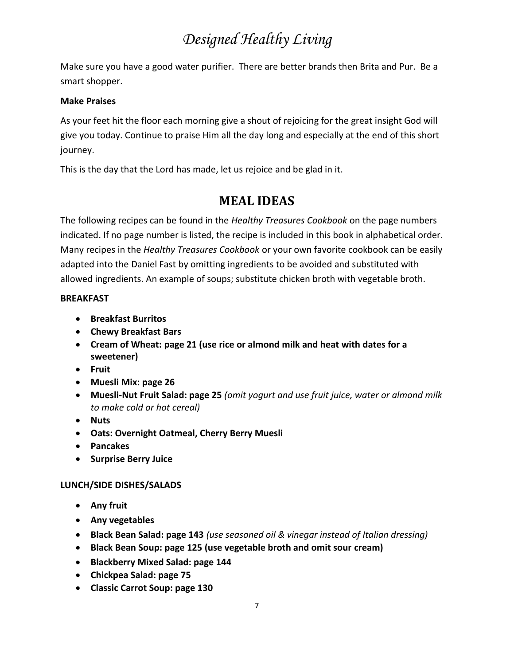Make sure you have a good water purifier. There are better brands then Brita and Pur. Be a smart shopper.

#### **Make Praises**

As your feet hit the floor each morning give a shout of rejoicing for the great insight God will give you today. Continue to praise Him all the day long and especially at the end of this short journey.

<span id="page-7-0"></span>This is the day that the Lord has made, let us rejoice and be glad in it.

### **MEAL IDEAS**

The following recipes can be found in the *Healthy Treasures Cookbook* on the page numbers indicated. If no page number is listed, the recipe is included in this book in alphabetical order. Many recipes in the *Healthy Treasures Cookbook* or your own favorite cookbook can be easily adapted into the Daniel Fast by omitting ingredients to be avoided and substituted with allowed ingredients. An example of soups; substitute chicken broth with vegetable broth.

#### **BREAKFAST**

- **Breakfast Burritos**
- **Chewy Breakfast Bars**
- **Cream of Wheat: page 21 (use rice or almond milk and heat with dates for a sweetener)**
- **Fruit**
- **Muesli Mix: page 26**
- **Muesli-Nut Fruit Salad: page 25** *(omit yogurt and use fruit juice, water or almond milk to make cold or hot cereal)*
- **Nuts**
- **Oats: Overnight Oatmeal, Cherry Berry Muesli**
- **Pancakes**
- **•** Surprise Berry Juice

### **LUNCH/SIDE DISHES/SALADS**

- **Any fruit**
- **Any vegetables**
- **Black Bean Salad: page 143** *(use seasoned oil & vinegar instead of Italian dressing)*
- **Black Bean Soup: page 125 (use vegetable broth and omit sour cream)**
- **Blackberry Mixed Salad: page 144**
- **Chickpea Salad: page 75**
- **Classic Carrot Soup: page 130**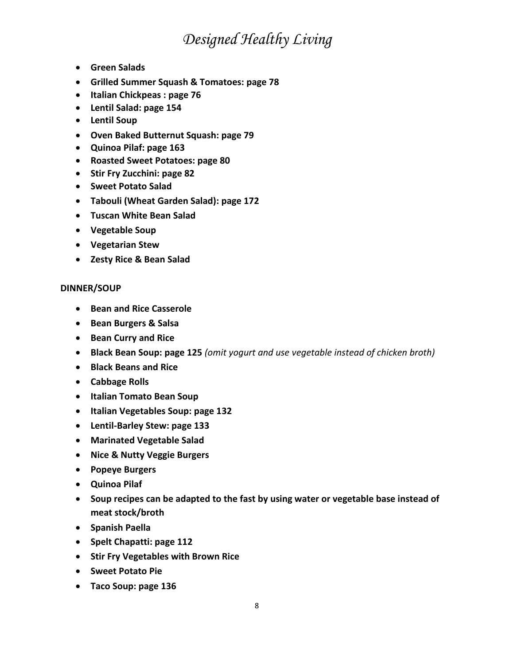- **Green Salads**
- **Grilled Summer Squash & Tomatoes: page 78**
- **Italian Chickpeas : page 76**
- **Lentil Salad: page 154**
- **Lentil Soup**
- **Oven Baked Butternut Squash: page 79**
- **Quinoa Pilaf: page 163**
- **Roasted Sweet Potatoes: page 80**
- **Stir Fry Zucchini: page 82**
- **Sweet Potato Salad**
- **Tabouli (Wheat Garden Salad): page 172**
- **Tuscan White Bean Salad**
- **Vegetable Soup**
- **Vegetarian Stew**
- **Zesty Rice & Bean Salad**

#### **DINNER/SOUP**

- **•** Bean and Rice Casserole
- **Bean Burgers & Salsa**
- **•** Bean Curry and Rice
- **Black Bean Soup: page 125** *(omit yogurt and use vegetable instead of chicken broth)*
- **Black Beans and Rice**
- **Cabbage Rolls**
- **Italian Tomato Bean Soup**
- **Italian Vegetables Soup: page 132**
- **Lentil-Barley Stew: page 133**
- **Marinated Vegetable Salad**
- **Nice & Nutty Veggie Burgers**
- **Popeye Burgers**
- **Quinoa Pilaf**
- **Soup recipes can be adapted to the fast by using water or vegetable base instead of meat stock/broth**
- **•** Spanish Paella
- **Spelt Chapatti: page 112**
- **Stir Fry Vegetables with Brown Rice**
- **Sweet Potato Pie**
- **Taco Soup: page 136**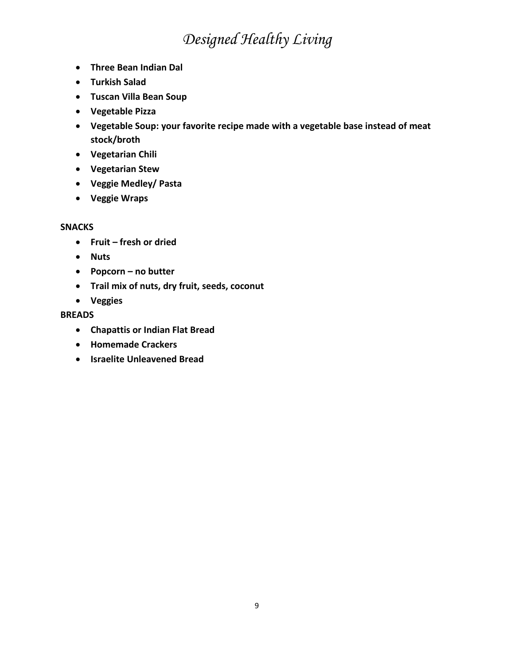- **Three Bean Indian Dal**
- **Turkish Salad**
- **Tuscan Villa Bean Soup**
- **Vegetable Pizza**
- **Vegetable Soup: your favorite recipe made with a vegetable base instead of meat stock/broth**
- **Vegetarian Chili**
- **Vegetarian Stew**
- **Veggie Medley/ Pasta**
- **Veggie Wraps**

#### **SNACKS**

- **Fruit – fresh or dried**
- **Nuts**
- **Popcorn – no butter**
- **Trail mix of nuts, dry fruit, seeds, coconut**
- **Veggies**

#### **BREADS**

- **Chapattis or Indian Flat Bread**
- **Homemade Crackers**
- **Israelite Unleavened Bread**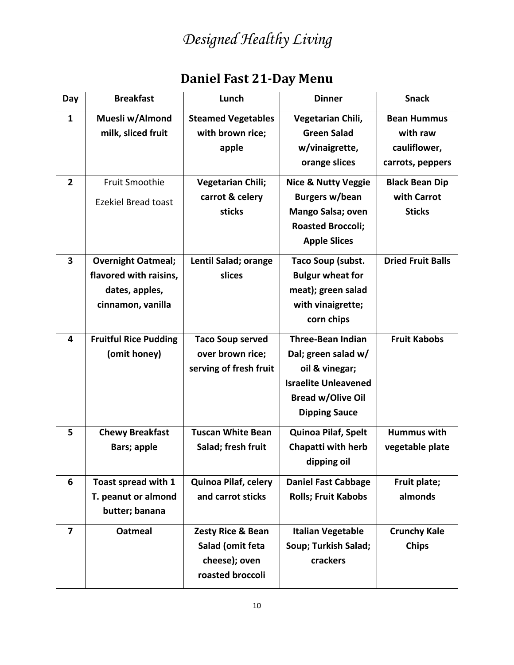<span id="page-10-0"></span>

| Day            | <b>Breakfast</b>             | Lunch                       | <b>Dinner</b>                  | <b>Snack</b>             |
|----------------|------------------------------|-----------------------------|--------------------------------|--------------------------|
| $\mathbf{1}$   | Muesli w/Almond              | <b>Steamed Vegetables</b>   | Vegetarian Chili,              | <b>Bean Hummus</b>       |
|                | milk, sliced fruit           | with brown rice;            | <b>Green Salad</b>             | with raw                 |
|                |                              | apple                       | w/vinaigrette,                 | cauliflower,             |
|                |                              |                             | orange slices                  | carrots, peppers         |
| $\overline{2}$ | <b>Fruit Smoothie</b>        | <b>Vegetarian Chili;</b>    | <b>Nice &amp; Nutty Veggie</b> | <b>Black Bean Dip</b>    |
|                | <b>Ezekiel Bread toast</b>   | carrot & celery             | <b>Burgers w/bean</b>          | with Carrot              |
|                |                              | sticks                      | Mango Salsa; oven              | <b>Sticks</b>            |
|                |                              |                             | <b>Roasted Broccoli;</b>       |                          |
|                |                              |                             | <b>Apple Slices</b>            |                          |
| 3              | <b>Overnight Oatmeal;</b>    | Lentil Salad; orange        | Taco Soup (subst.              | <b>Dried Fruit Balls</b> |
|                | flavored with raisins,       | slices                      | <b>Bulgur wheat for</b>        |                          |
|                | dates, apples,               |                             | meat); green salad             |                          |
|                | cinnamon, vanilla            |                             | with vinaigrette;              |                          |
|                |                              |                             | corn chips                     |                          |
| 4              | <b>Fruitful Rice Pudding</b> | <b>Taco Soup served</b>     | <b>Three-Bean Indian</b>       | <b>Fruit Kabobs</b>      |
|                | (omit honey)                 | over brown rice;            | Dal; green salad w/            |                          |
|                |                              | serving of fresh fruit      | oil & vinegar;                 |                          |
|                |                              |                             | <b>Israelite Unleavened</b>    |                          |
|                |                              |                             | <b>Bread w/Olive Oil</b>       |                          |
|                |                              |                             | <b>Dipping Sauce</b>           |                          |
| 5              | <b>Chewy Breakfast</b>       | <b>Tuscan White Bean</b>    | <b>Quinoa Pilaf, Spelt</b>     | <b>Hummus with</b>       |
|                | Bars; apple                  | Salad; fresh fruit          | <b>Chapatti with herb</b>      | vegetable plate          |
|                |                              |                             | dipping oil                    |                          |
| 6              | Toast spread with 1          | <b>Quinoa Pilaf, celery</b> | <b>Daniel Fast Cabbage</b>     | Fruit plate;             |
|                | T. peanut or almond          | and carrot sticks           | <b>Rolls; Fruit Kabobs</b>     | almonds                  |
|                | butter; banana               |                             |                                |                          |
| $\overline{7}$ | <b>Oatmeal</b>               | Zesty Rice & Bean           | <b>Italian Vegetable</b>       | <b>Crunchy Kale</b>      |
|                |                              | Salad (omit feta            | Soup; Turkish Salad;           | <b>Chips</b>             |
|                |                              | cheese); oven               | crackers                       |                          |
|                |                              | roasted broccoli            |                                |                          |

## **Daniel Fast 21-Day Menu**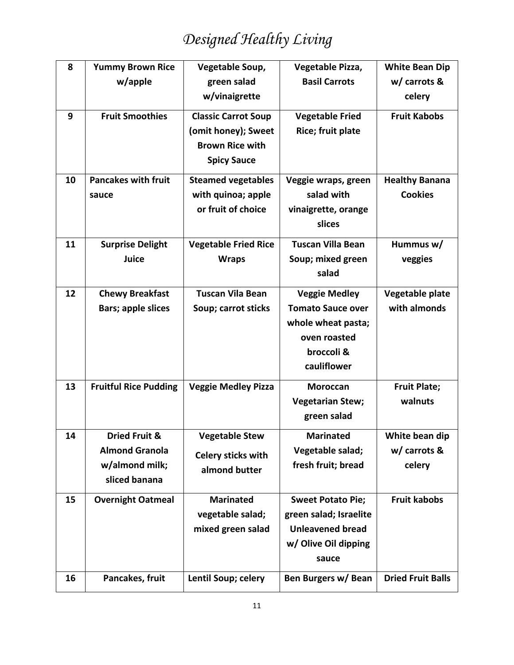| 8  | <b>Yummy Brown Rice</b>      | Vegetable Soup,             | Vegetable Pizza,         | <b>White Bean Dip</b>    |
|----|------------------------------|-----------------------------|--------------------------|--------------------------|
|    | w/apple                      | green salad                 | <b>Basil Carrots</b>     | $w/c$ arrots &           |
|    |                              | w/vinaigrette               |                          | celery                   |
| 9  | <b>Fruit Smoothies</b>       | <b>Classic Carrot Soup</b>  | <b>Vegetable Fried</b>   | <b>Fruit Kabobs</b>      |
|    |                              | (omit honey); Sweet         | Rice; fruit plate        |                          |
|    |                              | <b>Brown Rice with</b>      |                          |                          |
|    |                              | <b>Spicy Sauce</b>          |                          |                          |
| 10 | <b>Pancakes with fruit</b>   | <b>Steamed vegetables</b>   | Veggie wraps, green      | <b>Healthy Banana</b>    |
|    | sauce                        | with quinoa; apple          | salad with               | <b>Cookies</b>           |
|    |                              | or fruit of choice          | vinaigrette, orange      |                          |
|    |                              |                             | slices                   |                          |
| 11 | <b>Surprise Delight</b>      | <b>Vegetable Fried Rice</b> | <b>Tuscan Villa Bean</b> | Hummus w/                |
|    | Juice                        | <b>Wraps</b>                | Soup; mixed green        | veggies                  |
|    |                              |                             | salad                    |                          |
| 12 | <b>Chewy Breakfast</b>       | <b>Tuscan Vila Bean</b>     | <b>Veggie Medley</b>     | Vegetable plate          |
|    | Bars; apple slices           | Soup; carrot sticks         | <b>Tomato Sauce over</b> | with almonds             |
|    |                              |                             | whole wheat pasta;       |                          |
|    |                              |                             | oven roasted             |                          |
|    |                              |                             | broccoli &               |                          |
|    |                              |                             | cauliflower              |                          |
| 13 | <b>Fruitful Rice Pudding</b> | <b>Veggie Medley Pizza</b>  | <b>Moroccan</b>          | <b>Fruit Plate;</b>      |
|    |                              |                             | <b>Vegetarian Stew;</b>  | walnuts                  |
|    |                              |                             | green salad              |                          |
| 14 | Dried Fruit &                | <b>Vegetable Stew</b>       | <b>Marinated</b>         | White bean dip           |
|    | <b>Almond Granola</b>        | <b>Celery sticks with</b>   | Vegetable salad;         | w/ carrots &             |
|    | w/almond milk;               | almond butter               | fresh fruit; bread       | celery                   |
|    | sliced banana                |                             |                          |                          |
| 15 | <b>Overnight Oatmeal</b>     | <b>Marinated</b>            | <b>Sweet Potato Pie;</b> | <b>Fruit kabobs</b>      |
|    |                              | vegetable salad;            | green salad; Israelite   |                          |
|    |                              | mixed green salad           | <b>Unleavened bread</b>  |                          |
|    |                              |                             | w/ Olive Oil dipping     |                          |
|    |                              |                             | sauce                    |                          |
| 16 | Pancakes, fruit              | Lentil Soup; celery         | Ben Burgers w/ Bean      | <b>Dried Fruit Balls</b> |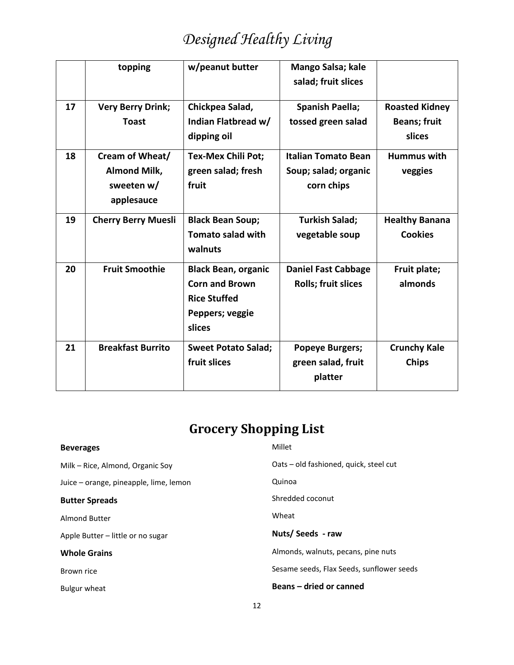|    | topping                    | w/peanut butter            | Mango Salsa; kale          |                       |
|----|----------------------------|----------------------------|----------------------------|-----------------------|
|    |                            |                            | salad; fruit slices        |                       |
|    |                            |                            |                            |                       |
| 17 | <b>Very Berry Drink;</b>   | Chickpea Salad,            | <b>Spanish Paella;</b>     | <b>Roasted Kidney</b> |
|    | <b>Toast</b>               | Indian Flatbread w/        | tossed green salad         | <b>Beans; fruit</b>   |
|    |                            | dipping oil                |                            | slices                |
| 18 | Cream of Wheat/            | <b>Tex-Mex Chili Pot;</b>  | <b>Italian Tomato Bean</b> | Hummus with           |
|    | <b>Almond Milk,</b>        | green salad; fresh         | Soup; salad; organic       | veggies               |
|    | sweeten w/                 | fruit                      | corn chips                 |                       |
|    | applesauce                 |                            |                            |                       |
| 19 | <b>Cherry Berry Muesli</b> | <b>Black Bean Soup;</b>    | <b>Turkish Salad;</b>      | <b>Healthy Banana</b> |
|    |                            | <b>Tomato salad with</b>   | vegetable soup             | <b>Cookies</b>        |
|    |                            | walnuts                    |                            |                       |
| 20 | <b>Fruit Smoothie</b>      | <b>Black Bean, organic</b> | <b>Daniel Fast Cabbage</b> | Fruit plate;          |
|    |                            | <b>Corn and Brown</b>      | <b>Rolls; fruit slices</b> | almonds               |
|    |                            | <b>Rice Stuffed</b>        |                            |                       |
|    |                            | Peppers; veggie            |                            |                       |
|    |                            | slices                     |                            |                       |
|    |                            |                            |                            |                       |
| 21 | <b>Breakfast Burrito</b>   | <b>Sweet Potato Salad;</b> | <b>Popeye Burgers;</b>     | <b>Crunchy Kale</b>   |
|    |                            | fruit slices               | green salad, fruit         | <b>Chips</b>          |
|    |                            |                            | platter                    |                       |
|    |                            |                            |                            |                       |

### **Grocery Shopping List**

<span id="page-12-0"></span>

| <b>Beverages</b>                       | Millet                                    |
|----------------------------------------|-------------------------------------------|
| Milk – Rice, Almond, Organic Sov       | Oats – old fashioned, quick, steel cut    |
| Juice – orange, pineapple, lime, lemon | Quinoa                                    |
| <b>Butter Spreads</b>                  | Shredded coconut                          |
| <b>Almond Butter</b>                   | Wheat                                     |
| Apple Butter – little or no sugar      | Nuts/Seeds - raw                          |
| <b>Whole Grains</b>                    | Almonds, walnuts, pecans, pine nuts       |
| Brown rice                             | Sesame seeds, Flax Seeds, sunflower seeds |
| Bulgur wheat                           | Beans – dried or canned                   |
|                                        |                                           |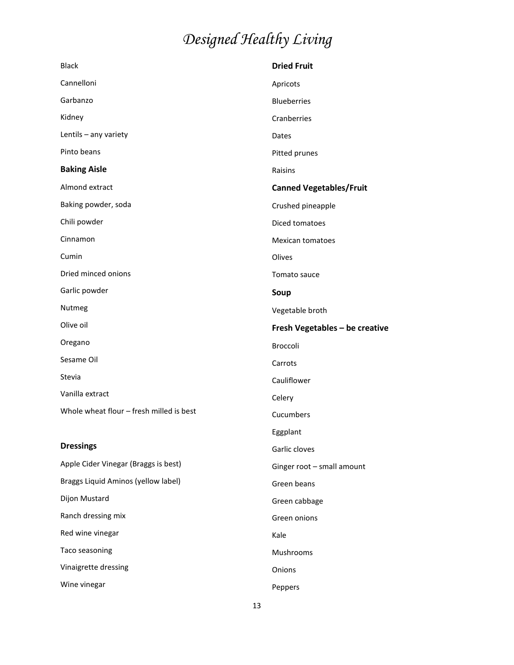| <b>Black</b>                             | <b>Dried Fruit</b>             |
|------------------------------------------|--------------------------------|
| Cannelloni                               | Apricots                       |
| Garbanzo                                 | <b>Blueberries</b>             |
| Kidney                                   | Cranberries                    |
| Lentils - any variety                    | Dates                          |
| Pinto beans                              | Pitted prunes                  |
| <b>Baking Aisle</b>                      | Raisins                        |
| Almond extract                           | <b>Canned Vegetables/Fruit</b> |
| Baking powder, soda                      | Crushed pineapple              |
| Chili powder                             | Diced tomatoes                 |
| Cinnamon                                 | <b>Mexican tomatoes</b>        |
| Cumin                                    | Olives                         |
| Dried minced onions                      | Tomato sauce                   |
| Garlic powder                            | Soup                           |
| Nutmeg                                   | Vegetable broth                |
| Olive oil                                | Fresh Vegetables - be creative |
| Oregano                                  | Broccoli                       |
| Sesame Oil                               | Carrots                        |
| Stevia                                   | Cauliflower                    |
| Vanilla extract                          | Celery                         |
| Whole wheat flour - fresh milled is best | Cucumbers                      |
|                                          | Eggplant                       |
| <b>Dressings</b>                         | Garlic cloves                  |
| Apple Cider Vinegar (Braggs is best)     | Ginger root - small amount     |
| Braggs Liquid Aminos (yellow label)      | Green beans                    |
| Dijon Mustard                            | Green cabbage                  |
| Ranch dressing mix                       | Green onions                   |
| Red wine vinegar                         | Kale                           |
| Taco seasoning                           | Mushrooms                      |
| Vinaigrette dressing                     | Onions                         |
| Wine vinegar                             | Peppers                        |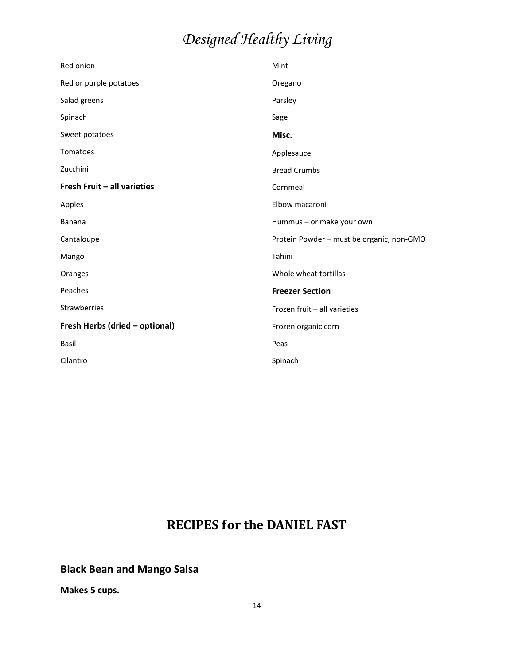| Red onion                      | Mint                                      |
|--------------------------------|-------------------------------------------|
| Red or purple potatoes         | Oregano                                   |
| Salad greens                   | Parsley                                   |
| Spinach                        | Sage                                      |
| Sweet potatoes                 | Misc.                                     |
| Tomatoes                       | Applesauce                                |
| Zucchini                       | <b>Bread Crumbs</b>                       |
| Fresh Fruit - all varieties    | Cornmeal                                  |
| Apples                         | Elbow macaroni                            |
| Banana                         | Hummus - or make your own                 |
| Cantaloupe                     | Protein Powder - must be organic, non-GMO |
| Mango                          | Tahini                                    |
| Oranges                        | Whole wheat tortillas                     |
| Peaches                        | <b>Freezer Section</b>                    |
| <b>Strawberries</b>            | Frozen fruit - all varieties              |
| Fresh Herbs (dried - optional) | Frozen organic corn                       |
| Basil                          | Peas                                      |
| Cilantro                       | Spinach                                   |

### **RECIPES for the DANIEL FAST**

### <span id="page-14-0"></span>**Black Bean and Mango Salsa**

**Makes 5 cups.**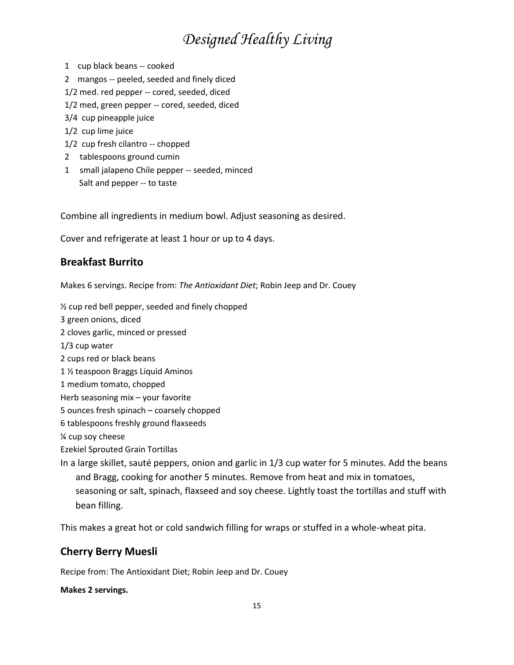- 1 cup black beans -- cooked
- 2 mangos -- peeled, seeded and finely diced
- 1/2 med. red pepper -- cored, seeded, diced

1/2 med, green pepper -- cored, seeded, diced

3/4 cup pineapple juice

- 1/2 cup lime juice
- 1/2 cup fresh cilantro -- chopped
- 2 tablespoons ground cumin
- 1 small jalapeno Chile pepper -- seeded, minced Salt and pepper -- to taste

Combine all ingredients in medium bowl. Adjust seasoning as desired.

Cover and refrigerate at least 1 hour or up to 4 days.

### **Breakfast Burrito**

Makes 6 servings. Recipe from: *The Antioxidant Diet*; Robin Jeep and Dr. Couey

½ cup red bell pepper, seeded and finely chopped

3 green onions, diced

2 cloves garlic, minced or pressed

- 1/3 cup water
- 2 cups red or black beans
- 1 ½ teaspoon Braggs Liquid Aminos
- 1 medium tomato, chopped
- Herb seasoning mix your favorite
- 5 ounces fresh spinach coarsely chopped
- 6 tablespoons freshly ground flaxseeds

¼ cup soy cheese

Ezekiel Sprouted Grain Tortillas

In a large skillet, sauté peppers, onion and garlic in 1/3 cup water for 5 minutes. Add the beans and Bragg, cooking for another 5 minutes. Remove from heat and mix in tomatoes, seasoning or salt, spinach, flaxseed and soy cheese. Lightly toast the tortillas and stuff with bean filling.

This makes a great hot or cold sandwich filling for wraps or stuffed in a whole-wheat pita.

### **Cherry Berry Muesli**

Recipe from: The Antioxidant Diet; Robin Jeep and Dr. Couey

#### **Makes 2 servings.**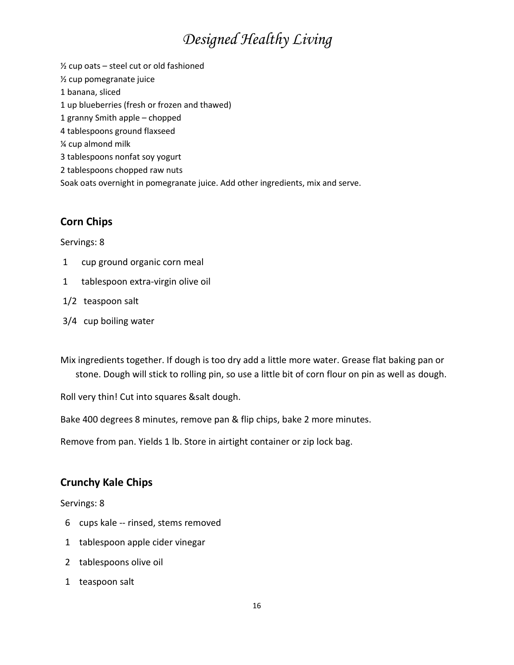$\frac{1}{2}$  cup oats – steel cut or old fashioned ½ cup pomegranate juice 1 banana, sliced 1 up blueberries (fresh or frozen and thawed) 1 granny Smith apple – chopped 4 tablespoons ground flaxseed ¼ cup almond milk 3 tablespoons nonfat soy yogurt 2 tablespoons chopped raw nuts Soak oats overnight in pomegranate juice. Add other ingredients, mix and serve.

### **Corn Chips**

#### Servings: 8

- 1 cup ground organic corn meal
- 1 tablespoon extra-virgin olive oil
- 1/2 teaspoon salt
- 3/4 cup boiling water

Mix ingredients together. If dough is too dry add a little more water. Grease flat baking pan or stone. Dough will stick to rolling pin, so use a little bit of corn flour on pin as well as dough.

Roll very thin! Cut into squares &salt dough.

Bake 400 degrees 8 minutes, remove pan & flip chips, bake 2 more minutes.

Remove from pan. Yields 1 lb. Store in airtight container or zip lock bag.

### **Crunchy Kale Chips**

#### Servings: 8

- 6 cups kale -- rinsed, stems removed
- 1 tablespoon apple cider vinegar
- 2 tablespoons olive oil
- 1 teaspoon salt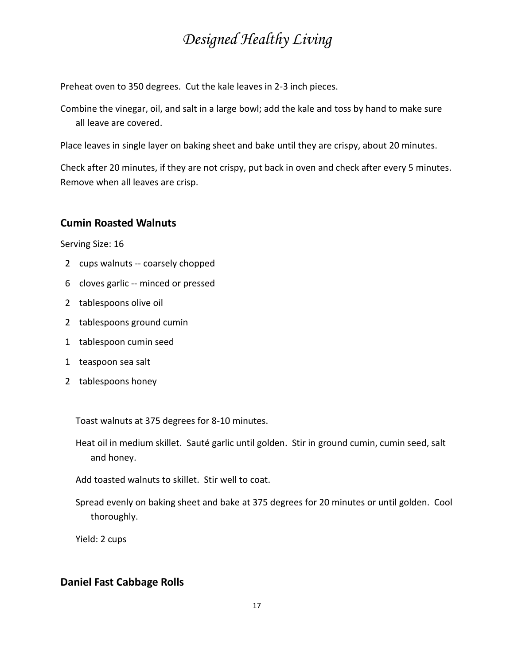Preheat oven to 350 degrees. Cut the kale leaves in 2-3 inch pieces.

Combine the vinegar, oil, and salt in a large bowl; add the kale and toss by hand to make sure all leave are covered.

Place leaves in single layer on baking sheet and bake until they are crispy, about 20 minutes.

Check after 20 minutes, if they are not crispy, put back in oven and check after every 5 minutes. Remove when all leaves are crisp.

#### **Cumin Roasted Walnuts**

Serving Size: 16

- 2 cups walnuts -- coarsely chopped
- 6 cloves garlic -- minced or pressed
- 2 tablespoons olive oil
- 2 tablespoons ground cumin
- 1 tablespoon cumin seed
- 1 teaspoon sea salt
- 2 tablespoons honey

Toast walnuts at 375 degrees for 8-10 minutes.

Heat oil in medium skillet. Sauté garlic until golden. Stir in ground cumin, cumin seed, salt and honey.

Add toasted walnuts to skillet. Stir well to coat.

Spread evenly on baking sheet and bake at 375 degrees for 20 minutes or until golden. Cool thoroughly.

Yield: 2 cups

### **Daniel Fast Cabbage Rolls**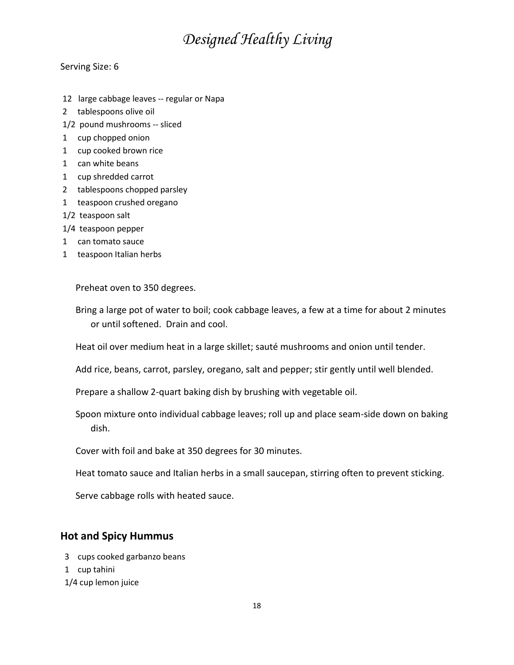#### Serving Size: 6

- 12 large cabbage leaves -- regular or Napa
- 2 tablespoons olive oil
- 1/2 pound mushrooms -- sliced
- 1 cup chopped onion
- 1 cup cooked brown rice
- 1 can white beans
- 1 cup shredded carrot
- 2 tablespoons chopped parsley
- 1 teaspoon crushed oregano
- 1/2 teaspoon salt
- 1/4 teaspoon pepper
- 1 can tomato sauce
- 1 teaspoon Italian herbs

Preheat oven to 350 degrees.

Bring a large pot of water to boil; cook cabbage leaves, a few at a time for about 2 minutes or until softened. Drain and cool.

Heat oil over medium heat in a large skillet; sauté mushrooms and onion until tender.

Add rice, beans, carrot, parsley, oregano, salt and pepper; stir gently until well blended.

Prepare a shallow 2-quart baking dish by brushing with vegetable oil.

Spoon mixture onto individual cabbage leaves; roll up and place seam-side down on baking dish.

Cover with foil and bake at 350 degrees for 30 minutes.

Heat tomato sauce and Italian herbs in a small saucepan, stirring often to prevent sticking.

Serve cabbage rolls with heated sauce.

### **Hot and Spicy Hummus**

- 3 cups cooked garbanzo beans
- 1 cup tahini
- 1/4 cup lemon juice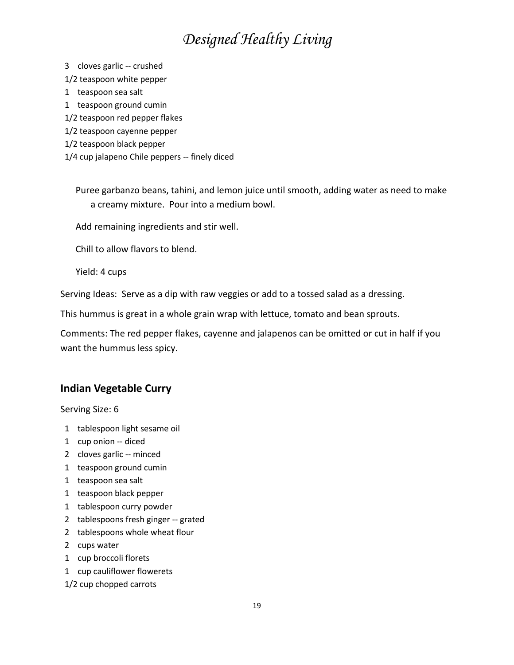3 cloves garlic -- crushed 1/2 teaspoon white pepper 1 teaspoon sea salt 1 teaspoon ground cumin 1/2 teaspoon red pepper flakes 1/2 teaspoon cayenne pepper 1/2 teaspoon black pepper 1/4 cup jalapeno Chile peppers -- finely diced

Puree garbanzo beans, tahini, and lemon juice until smooth, adding water as need to make a creamy mixture. Pour into a medium bowl.

Add remaining ingredients and stir well.

Chill to allow flavors to blend.

Yield: 4 cups

Serving Ideas: Serve as a dip with raw veggies or add to a tossed salad as a dressing.

This hummus is great in a whole grain wrap with lettuce, tomato and bean sprouts.

Comments: The red pepper flakes, cayenne and jalapenos can be omitted or cut in half if you want the hummus less spicy.

### **Indian Vegetable Curry**

- 1 tablespoon light sesame oil
- 1 cup onion -- diced
- 2 cloves garlic -- minced
- 1 teaspoon ground cumin
- 1 teaspoon sea salt
- 1 teaspoon black pepper
- 1 tablespoon curry powder
- 2 tablespoons fresh ginger -- grated
- 2 tablespoons whole wheat flour
- 2 cups water
- 1 cup broccoli florets
- 1 cup cauliflower flowerets
- 1/2 cup chopped carrots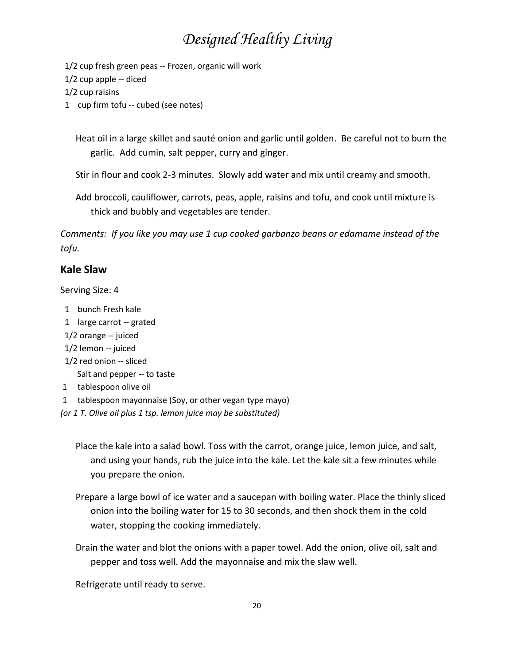1/2 cup fresh green peas -- Frozen, organic will work 1/2 cup apple -- diced 1/2 cup raisins

1 cup firm tofu -- cubed (see notes)

Heat oil in a large skillet and sauté onion and garlic until golden. Be careful not to burn the garlic. Add cumin, salt pepper, curry and ginger.

Stir in flour and cook 2-3 minutes. Slowly add water and mix until creamy and smooth.

Add broccoli, cauliflower, carrots, peas, apple, raisins and tofu, and cook until mixture is thick and bubbly and vegetables are tender.

*Comments: If you like you may use 1 cup cooked garbanzo beans or edamame instead of the tofu.*

### **Kale Slaw**

Serving Size: 4

- 1 bunch Fresh kale
- 1 large carrot -- grated
- 1/2 orange -- juiced
- 1/2 lemon -- juiced
- 1/2 red onion -- sliced

Salt and pepper -- to taste

1 tablespoon olive oil

1 tablespoon mayonnaise (Soy, or other vegan type mayo)

*(or 1 T. Olive oil plus 1 tsp. lemon juice may be substituted)*

Place the kale into a salad bowl. Toss with the carrot, orange juice, lemon juice, and salt, and using your hands, rub the juice into the kale. Let the kale sit a few minutes while you prepare the onion.

Prepare a large bowl of ice water and a saucepan with boiling water. Place the thinly sliced onion into the boiling water for 15 to 30 seconds, and then shock them in the cold water, stopping the cooking immediately.

Drain the water and blot the onions with a paper towel. Add the onion, olive oil, salt and pepper and toss well. Add the mayonnaise and mix the slaw well.

Refrigerate until ready to serve.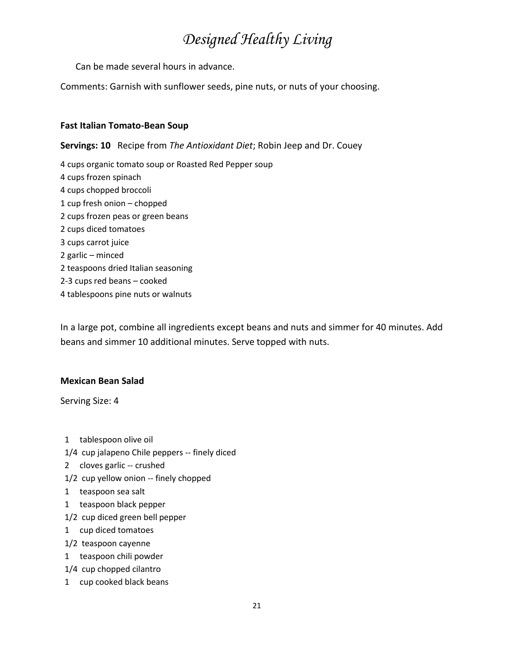Can be made several hours in advance.

Comments: Garnish with sunflower seeds, pine nuts, or nuts of your choosing.

#### **Fast Italian Tomato-Bean Soup**

**Servings: 10** Recipe from *The Antioxidant Diet*; Robin Jeep and Dr. Couey

- 4 cups organic tomato soup or Roasted Red Pepper soup 4 cups frozen spinach 4 cups chopped broccoli 1 cup fresh onion – chopped 2 cups frozen peas or green beans 2 cups diced tomatoes 3 cups carrot juice 2 garlic – minced 2 teaspoons dried Italian seasoning 2-3 cups red beans – cooked
- 4 tablespoons pine nuts or walnuts

In a large pot, combine all ingredients except beans and nuts and simmer for 40 minutes. Add beans and simmer 10 additional minutes. Serve topped with nuts.

#### **Mexican Bean Salad**

- 1 tablespoon olive oil
- 1/4 cup jalapeno Chile peppers -- finely diced
- 2 cloves garlic -- crushed
- 1/2 cup yellow onion -- finely chopped
- 1 teaspoon sea salt
- 1 teaspoon black pepper
- 1/2 cup diced green bell pepper
- 1 cup diced tomatoes
- 1/2 teaspoon cayenne
- 1 teaspoon chili powder
- 1/4 cup chopped cilantro
- 1 cup cooked black beans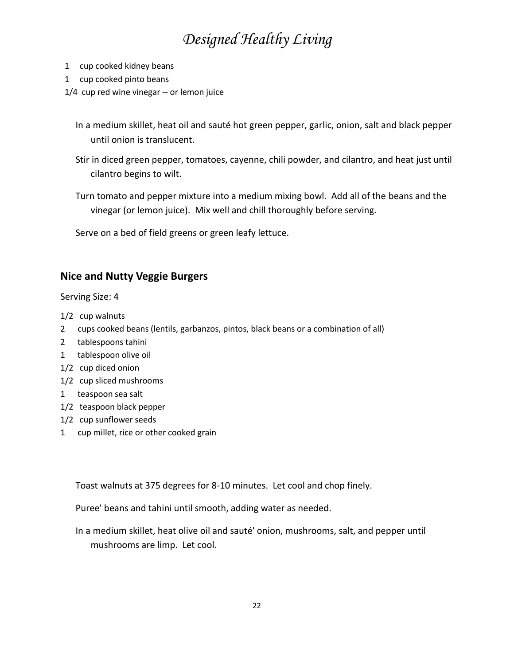- 1 cup cooked kidney beans
- 1 cup cooked pinto beans
- 1/4 cup red wine vinegar -- or lemon juice

In a medium skillet, heat oil and sauté hot green pepper, garlic, onion, salt and black pepper until onion is translucent.

Stir in diced green pepper, tomatoes, cayenne, chili powder, and cilantro, and heat just until cilantro begins to wilt.

Turn tomato and pepper mixture into a medium mixing bowl. Add all of the beans and the vinegar (or lemon juice). Mix well and chill thoroughly before serving.

Serve on a bed of field greens or green leafy lettuce.

### **Nice and Nutty Veggie Burgers**

Serving Size: 4

- 1/2 cup walnuts
- 2 cups cooked beans (lentils, garbanzos, pintos, black beans or a combination of all)
- 2 tablespoons tahini
- 1 tablespoon olive oil
- 1/2 cup diced onion
- 1/2 cup sliced mushrooms
- 1 teaspoon sea salt
- 1/2 teaspoon black pepper
- 1/2 cup sunflower seeds
- 1 cup millet, rice or other cooked grain

Toast walnuts at 375 degrees for 8-10 minutes. Let cool and chop finely.

Puree' beans and tahini until smooth, adding water as needed.

In a medium skillet, heat olive oil and sauté' onion, mushrooms, salt, and pepper until mushrooms are limp. Let cool.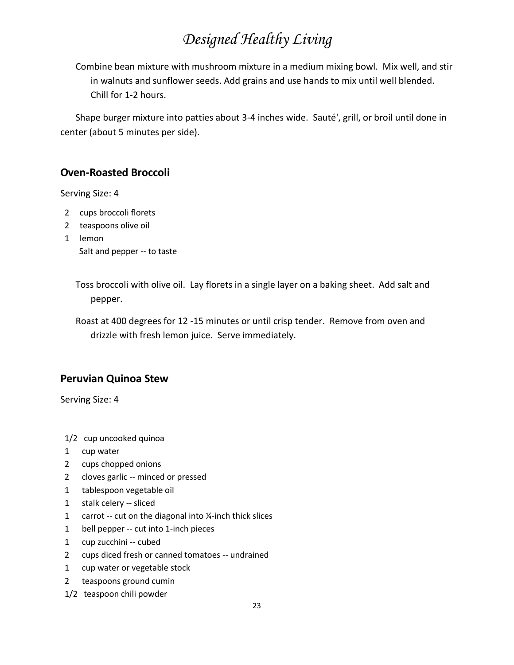Combine bean mixture with mushroom mixture in a medium mixing bowl. Mix well, and stir in walnuts and sunflower seeds. Add grains and use hands to mix until well blended. Chill for 1-2 hours.

Shape burger mixture into patties about 3-4 inches wide. Sauté', grill, or broil until done in center (about 5 minutes per side).

### **Oven-Roasted Broccoli**

Serving Size: 4

- 2 cups broccoli florets
- 2 teaspoons olive oil
- 1 lemon Salt and pepper -- to taste

Toss broccoli with olive oil. Lay florets in a single layer on a baking sheet. Add salt and pepper.

Roast at 400 degrees for 12 -15 minutes or until crisp tender. Remove from oven and drizzle with fresh lemon juice. Serve immediately.

### **Peruvian Quinoa Stew**

- 1/2 cup uncooked quinoa
- 1 cup water
- 2 cups chopped onions
- 2 cloves garlic -- minced or pressed
- 1 tablespoon vegetable oil
- 1 stalk celery -- sliced
- 1 carrot -- cut on the diagonal into ¼-inch thick slices
- 1 bell pepper -- cut into 1-inch pieces
- 1 cup zucchini -- cubed
- 2 cups diced fresh or canned tomatoes -- undrained
- 1 cup water or vegetable stock
- 2 teaspoons ground cumin
- 1/2 teaspoon chili powder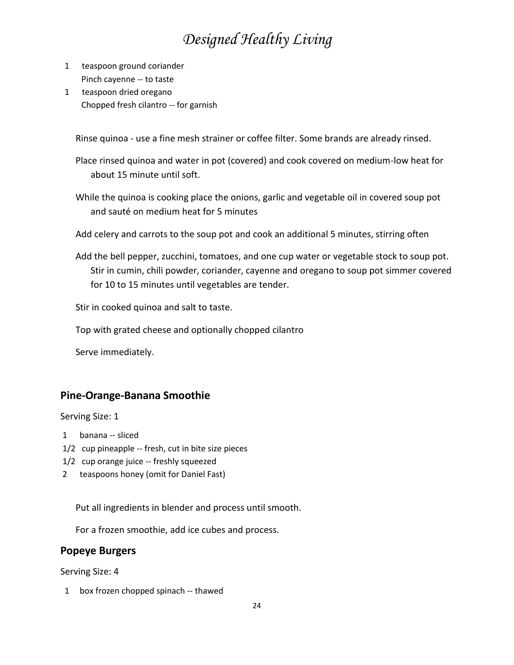- 1 teaspoon ground coriander Pinch cayenne -- to taste
- 1 teaspoon dried oregano Chopped fresh cilantro -- for garnish

Rinse quinoa - use a fine mesh strainer or coffee filter. Some brands are already rinsed.

- Place rinsed quinoa and water in pot (covered) and cook covered on medium-low heat for about 15 minute until soft.
- While the quinoa is cooking place the onions, garlic and vegetable oil in covered soup pot and sauté on medium heat for 5 minutes
- Add celery and carrots to the soup pot and cook an additional 5 minutes, stirring often
- Add the bell pepper, zucchini, tomatoes, and one cup water or vegetable stock to soup pot. Stir in cumin, chili powder, coriander, cayenne and oregano to soup pot simmer covered for 10 to 15 minutes until vegetables are tender.

Stir in cooked quinoa and salt to taste.

Top with grated cheese and optionally chopped cilantro

Serve immediately.

### **Pine-Orange-Banana Smoothie**

Serving Size: 1

- 1 banana -- sliced
- 1/2 cup pineapple -- fresh, cut in bite size pieces
- 1/2 cup orange juice -- freshly squeezed
- 2 teaspoons honey (omit for Daniel Fast)

Put all ingredients in blender and process until smooth.

For a frozen smoothie, add ice cubes and process.

### **Popeye Burgers**

Serving Size: 4

1 box frozen chopped spinach -- thawed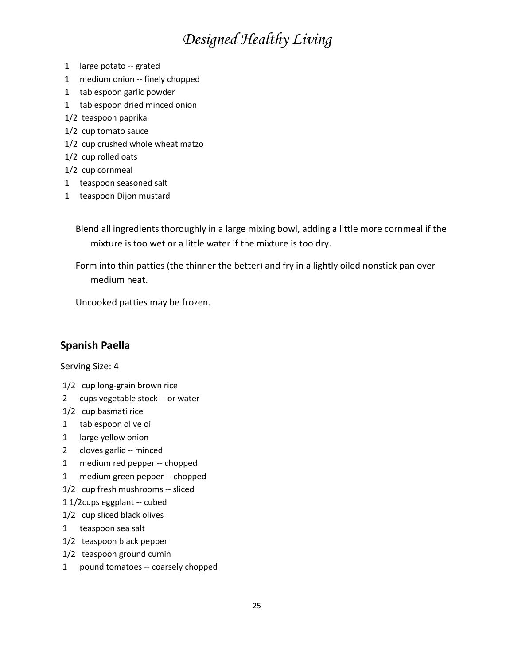- 1 large potato -- grated
- 1 medium onion -- finely chopped
- 1 tablespoon garlic powder
- 1 tablespoon dried minced onion
- 1/2 teaspoon paprika
- 1/2 cup tomato sauce
- 1/2 cup crushed whole wheat matzo
- 1/2 cup rolled oats
- 1/2 cup cornmeal
- 1 teaspoon seasoned salt
- 1 teaspoon Dijon mustard

Blend all ingredients thoroughly in a large mixing bowl, adding a little more cornmeal if the mixture is too wet or a little water if the mixture is too dry.

Form into thin patties (the thinner the better) and fry in a lightly oiled nonstick pan over medium heat.

Uncooked patties may be frozen.

### **Spanish Paella**

- 1/2 cup long-grain brown rice
- 2 cups vegetable stock -- or water
- 1/2 cup basmati rice
- 1 tablespoon olive oil
- 1 large yellow onion
- 2 cloves garlic -- minced
- 1 medium red pepper -- chopped
- 1 medium green pepper -- chopped
- 1/2 cup fresh mushrooms -- sliced
- 1 1/2cups eggplant -- cubed
- 1/2 cup sliced black olives
- 1 teaspoon sea salt
- 1/2 teaspoon black pepper
- 1/2 teaspoon ground cumin
- 1 pound tomatoes -- coarsely chopped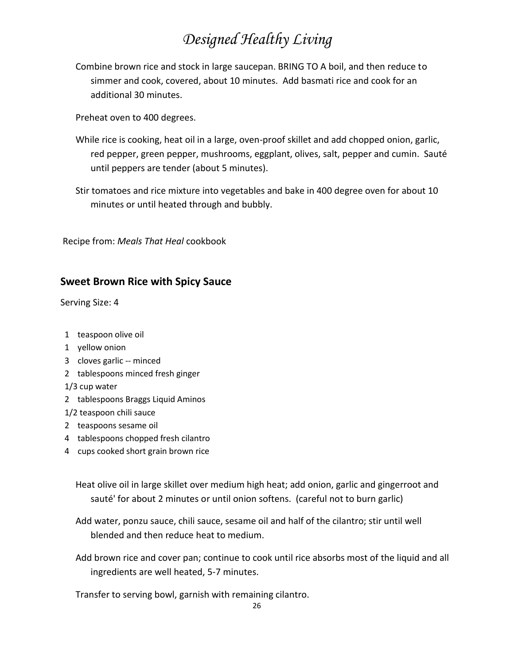Combine brown rice and stock in large saucepan. BRING TO A boil, and then reduce to simmer and cook, covered, about 10 minutes. Add basmati rice and cook for an additional 30 minutes.

Preheat oven to 400 degrees.

- While rice is cooking, heat oil in a large, oven-proof skillet and add chopped onion, garlic, red pepper, green pepper, mushrooms, eggplant, olives, salt, pepper and cumin. Sauté until peppers are tender (about 5 minutes).
- Stir tomatoes and rice mixture into vegetables and bake in 400 degree oven for about 10 minutes or until heated through and bubbly.

Recipe from: *Meals That Heal* cookbook

### **Sweet Brown Rice with Spicy Sauce**

Serving Size: 4

- 1 teaspoon olive oil
- 1 yellow onion
- 3 cloves garlic -- minced
- 2 tablespoons minced fresh ginger
- 1/3 cup water
- 2 tablespoons Braggs Liquid Aminos
- 1/2 teaspoon chili sauce
- 2 teaspoons sesame oil
- 4 tablespoons chopped fresh cilantro
- 4 cups cooked short grain brown rice

Heat olive oil in large skillet over medium high heat; add onion, garlic and gingerroot and sauté' for about 2 minutes or until onion softens. (careful not to burn garlic)

Add water, ponzu sauce, chili sauce, sesame oil and half of the cilantro; stir until well blended and then reduce heat to medium.

Add brown rice and cover pan; continue to cook until rice absorbs most of the liquid and all ingredients are well heated, 5-7 minutes.

Transfer to serving bowl, garnish with remaining cilantro.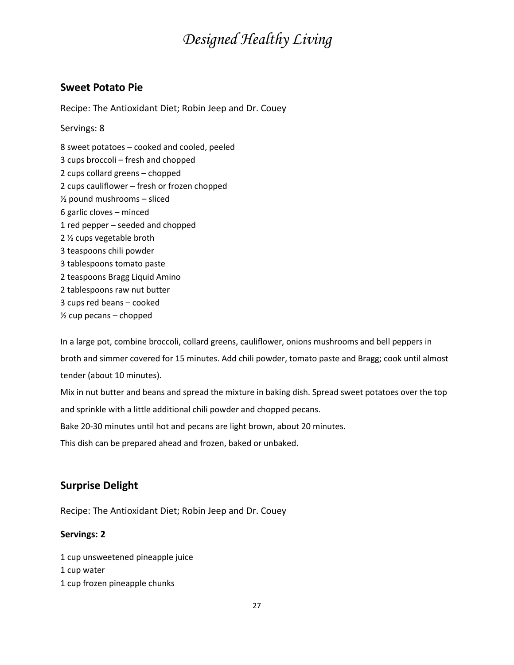#### **Sweet Potato Pie**

Recipe: The Antioxidant Diet; Robin Jeep and Dr. Couey

#### Servings: 8

8 sweet potatoes – cooked and cooled, peeled 3 cups broccoli – fresh and chopped 2 cups collard greens – chopped 2 cups cauliflower – fresh or frozen chopped ½ pound mushrooms – sliced 6 garlic cloves – minced 1 red pepper – seeded and chopped 2 ½ cups vegetable broth 3 teaspoons chili powder 3 tablespoons tomato paste 2 teaspoons Bragg Liquid Amino 2 tablespoons raw nut butter 3 cups red beans – cooked  $\frac{1}{2}$  cup pecans – chopped

In a large pot, combine broccoli, collard greens, cauliflower, onions mushrooms and bell peppers in broth and simmer covered for 15 minutes. Add chili powder, tomato paste and Bragg; cook until almost tender (about 10 minutes).

Mix in nut butter and beans and spread the mixture in baking dish. Spread sweet potatoes over the top and sprinkle with a little additional chili powder and chopped pecans.

Bake 20-30 minutes until hot and pecans are light brown, about 20 minutes.

This dish can be prepared ahead and frozen, baked or unbaked.

### **Surprise Delight**

Recipe: The Antioxidant Diet; Robin Jeep and Dr. Couey

#### **Servings: 2**

1 cup unsweetened pineapple juice 1 cup water 1 cup frozen pineapple chunks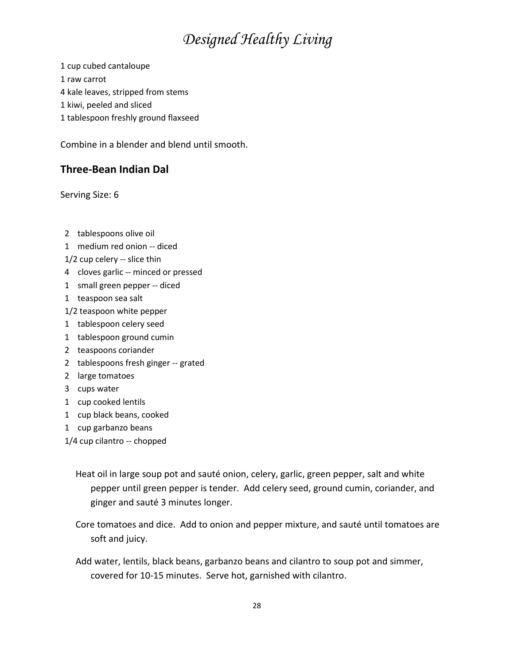1 cup cubed cantaloupe 1 raw carrot 4 kale leaves, stripped from stems 1 kiwi, peeled and sliced 1 tablespoon freshly ground flaxseed

Combine in a blender and blend until smooth.

### **Three-Bean Indian Dal**

- 2 tablespoons olive oil
- 1 medium red onion -- diced
- 1/2 cup celery -- slice thin
- 4 cloves garlic -- minced or pressed
- 1 small green pepper -- diced
- 1 teaspoon sea salt
- 1/2 teaspoon white pepper
- 1 tablespoon celery seed
- 1 tablespoon ground cumin
- 2 teaspoons coriander
- 2 tablespoons fresh ginger -- grated
- 2 large tomatoes
- 3 cups water
- 1 cup cooked lentils
- 1 cup black beans, cooked
- 1 cup garbanzo beans
- 1/4 cup cilantro -- chopped
	- Heat oil in large soup pot and sauté onion, celery, garlic, green pepper, salt and white pepper until green pepper is tender. Add celery seed, ground cumin, coriander, and ginger and sauté 3 minutes longer.
	- Core tomatoes and dice. Add to onion and pepper mixture, and sauté until tomatoes are soft and juicy.
	- Add water, lentils, black beans, garbanzo beans and cilantro to soup pot and simmer, covered for 10-15 minutes. Serve hot, garnished with cilantro.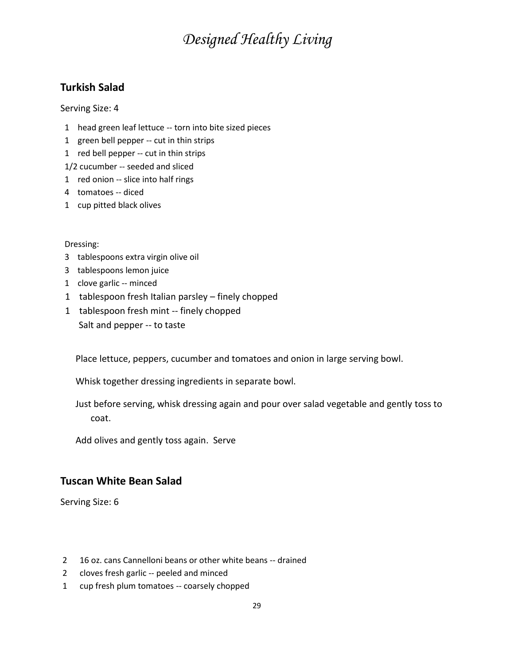### **Turkish Salad**

Serving Size: 4

- 1 head green leaf lettuce -- torn into bite sized pieces
- 1 green bell pepper -- cut in thin strips
- 1 red bell pepper -- cut in thin strips
- 1/2 cucumber -- seeded and sliced
- 1 red onion -- slice into half rings
- 4 tomatoes -- diced
- 1 cup pitted black olives

#### Dressing:

- 3 tablespoons extra virgin olive oil
- 3 tablespoons lemon juice
- 1 clove garlic -- minced
- 1 tablespoon fresh Italian parsley finely chopped
- 1 tablespoon fresh mint -- finely chopped Salt and pepper -- to taste

Place lettuce, peppers, cucumber and tomatoes and onion in large serving bowl.

Whisk together dressing ingredients in separate bowl.

Just before serving, whisk dressing again and pour over salad vegetable and gently toss to coat.

Add olives and gently toss again. Serve

### **Tuscan White Bean Salad**

- 2 16 oz. cans Cannelloni beans or other white beans -- drained
- 2 cloves fresh garlic -- peeled and minced
- 1 cup fresh plum tomatoes -- coarsely chopped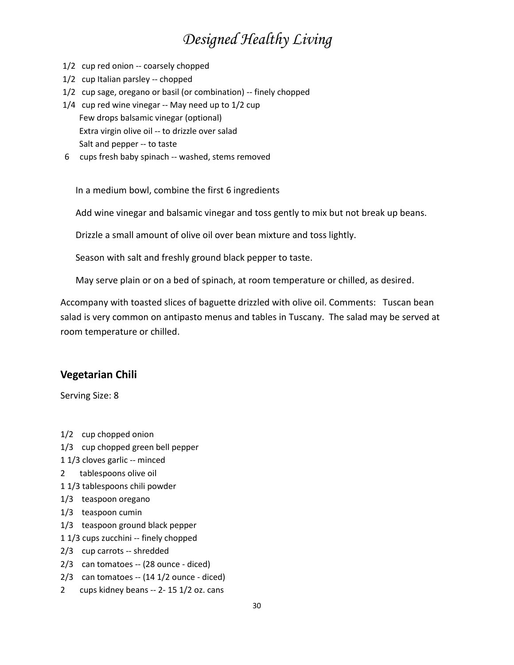- 1/2 cup red onion -- coarsely chopped
- 1/2 cup Italian parsley -- chopped
- 1/2 cup sage, oregano or basil (or combination) -- finely chopped
- 1/4 cup red wine vinegar -- May need up to 1/2 cup Few drops balsamic vinegar (optional) Extra virgin olive oil -- to drizzle over salad Salt and pepper -- to taste
- 6 cups fresh baby spinach -- washed, stems removed

In a medium bowl, combine the first 6 ingredients

Add wine vinegar and balsamic vinegar and toss gently to mix but not break up beans.

Drizzle a small amount of olive oil over bean mixture and toss lightly.

Season with salt and freshly ground black pepper to taste.

May serve plain or on a bed of spinach, at room temperature or chilled, as desired.

Accompany with toasted slices of baguette drizzled with olive oil. Comments: Tuscan bean salad is very common on antipasto menus and tables in Tuscany. The salad may be served at room temperature or chilled.

#### **Vegetarian Chili**

- 1/2 cup chopped onion
- 1/3 cup chopped green bell pepper
- 1 1/3 cloves garlic -- minced
- 2 tablespoons olive oil
- 1 1/3 tablespoons chili powder
- 1/3 teaspoon oregano
- 1/3 teaspoon cumin
- 1/3 teaspoon ground black pepper
- 1 1/3 cups zucchini -- finely chopped
- 2/3 cup carrots -- shredded
- 2/3 can tomatoes -- (28 ounce diced)
- $2/3$  can tomatoes --  $(14 1/2 \text{ ounce} \text{diced})$
- 2 cups kidney beans -- 2- 15 1/2 oz. cans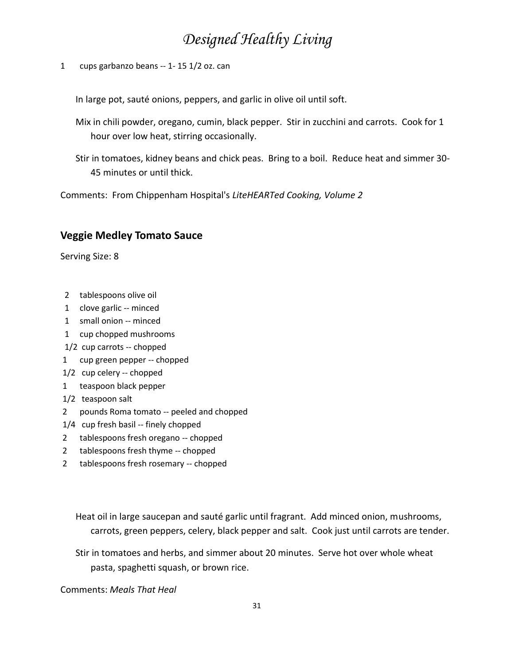1 cups garbanzo beans -- 1- 15 1/2 oz. can

In large pot, sauté onions, peppers, and garlic in olive oil until soft.

Mix in chili powder, oregano, cumin, black pepper. Stir in zucchini and carrots. Cook for 1 hour over low heat, stirring occasionally.

Stir in tomatoes, kidney beans and chick peas. Bring to a boil. Reduce heat and simmer 30- 45 minutes or until thick.

Comments: From Chippenham Hospital's *LiteHEARTed Cooking, Volume 2*

### **Veggie Medley Tomato Sauce**

Serving Size: 8

- 2 tablespoons olive oil
- 1 clove garlic -- minced
- 1 small onion -- minced
- 1 cup chopped mushrooms
- 1/2 cup carrots -- chopped
- 1 cup green pepper -- chopped
- 1/2 cup celery -- chopped
- 1 teaspoon black pepper
- 1/2 teaspoon salt
- 2 pounds Roma tomato -- peeled and chopped
- 1/4 cup fresh basil -- finely chopped
- 2 tablespoons fresh oregano -- chopped
- 2 tablespoons fresh thyme -- chopped
- 2 tablespoons fresh rosemary -- chopped

Heat oil in large saucepan and sauté garlic until fragrant. Add minced onion, mushrooms, carrots, green peppers, celery, black pepper and salt. Cook just until carrots are tender.

Stir in tomatoes and herbs, and simmer about 20 minutes. Serve hot over whole wheat pasta, spaghetti squash, or brown rice.

Comments: *Meals That Heal*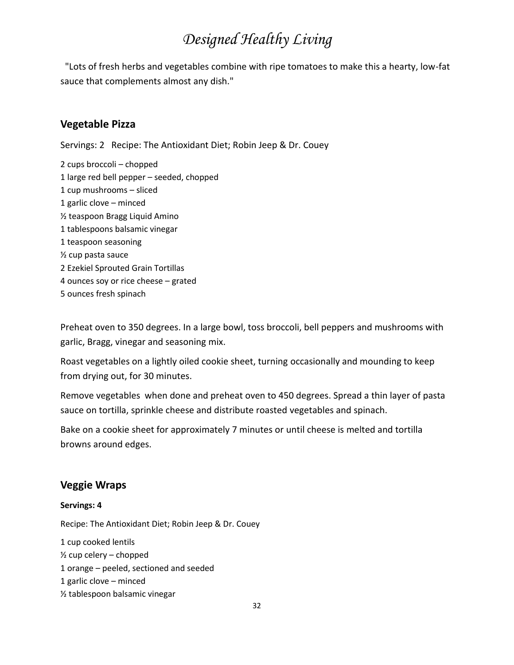"Lots of fresh herbs and vegetables combine with ripe tomatoes to make this a hearty, low-fat sauce that complements almost any dish."

#### **Vegetable Pizza**

Servings: 2 Recipe: The Antioxidant Diet; Robin Jeep & Dr. Couey

2 cups broccoli – chopped 1 large red bell pepper – seeded, chopped 1 cup mushrooms – sliced 1 garlic clove – minced ½ teaspoon Bragg Liquid Amino 1 tablespoons balsamic vinegar 1 teaspoon seasoning ½ cup pasta sauce 2 Ezekiel Sprouted Grain Tortillas 4 ounces soy or rice cheese – grated 5 ounces fresh spinach

Preheat oven to 350 degrees. In a large bowl, toss broccoli, bell peppers and mushrooms with garlic, Bragg, vinegar and seasoning mix.

Roast vegetables on a lightly oiled cookie sheet, turning occasionally and mounding to keep from drying out, for 30 minutes.

Remove vegetables when done and preheat oven to 450 degrees. Spread a thin layer of pasta sauce on tortilla, sprinkle cheese and distribute roasted vegetables and spinach.

Bake on a cookie sheet for approximately 7 minutes or until cheese is melted and tortilla browns around edges.

### **Veggie Wraps**

#### **Servings: 4**

Recipe: The Antioxidant Diet; Robin Jeep & Dr. Couey

1 cup cooked lentils  $\frac{1}{2}$  cup celery – chopped 1 orange – peeled, sectioned and seeded 1 garlic clove – minced ½ tablespoon balsamic vinegar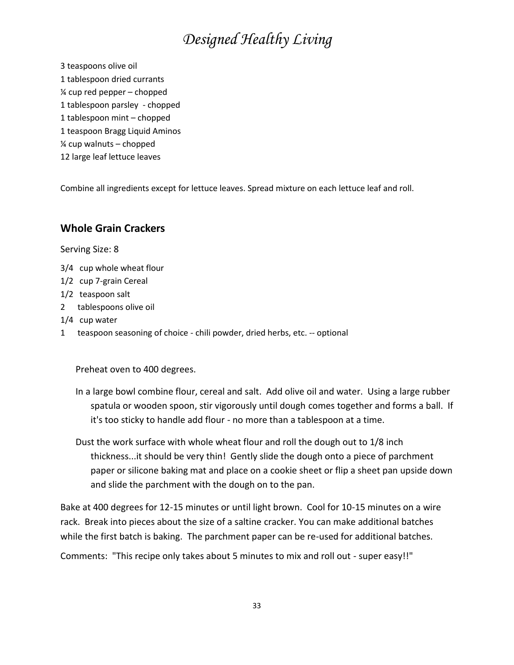3 teaspoons olive oil 1 tablespoon dried currants ¼ cup red pepper – chopped 1 tablespoon parsley - chopped 1 tablespoon mint – chopped 1 teaspoon Bragg Liquid Aminos  $\frac{1}{4}$  cup walnuts – chopped 12 large leaf lettuce leaves

Combine all ingredients except for lettuce leaves. Spread mixture on each lettuce leaf and roll.

### **Whole Grain Crackers**

#### Serving Size: 8

- 3/4 cup whole wheat flour
- 1/2 cup 7-grain Cereal
- 1/2 teaspoon salt
- 2 tablespoons olive oil
- 1/4 cup water
- 1 teaspoon seasoning of choice chili powder, dried herbs, etc. -- optional

Preheat oven to 400 degrees.

- In a large bowl combine flour, cereal and salt. Add olive oil and water. Using a large rubber spatula or wooden spoon, stir vigorously until dough comes together and forms a ball. If it's too sticky to handle add flour - no more than a tablespoon at a time.
- Dust the work surface with whole wheat flour and roll the dough out to 1/8 inch thickness...it should be very thin! Gently slide the dough onto a piece of parchment paper or silicone baking mat and place on a cookie sheet or flip a sheet pan upside down and slide the parchment with the dough on to the pan.

Bake at 400 degrees for 12-15 minutes or until light brown. Cool for 10-15 minutes on a wire rack. Break into pieces about the size of a saltine cracker. You can make additional batches while the first batch is baking. The parchment paper can be re-used for additional batches.

Comments: "This recipe only takes about 5 minutes to mix and roll out - super easy!!"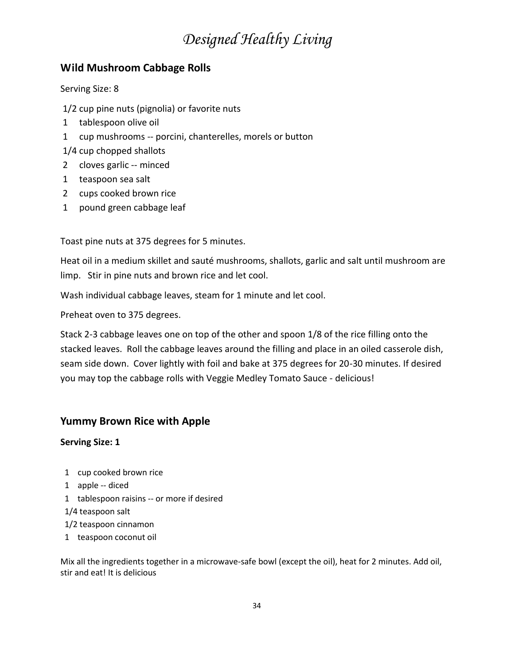### **Wild Mushroom Cabbage Rolls**

Serving Size: 8

- 1/2 cup pine nuts (pignolia) or favorite nuts
- 1 tablespoon olive oil
- 1 cup mushrooms -- porcini, chanterelles, morels or button
- 1/4 cup chopped shallots
- 2 cloves garlic -- minced
- 1 teaspoon sea salt
- 2 cups cooked brown rice
- 1 pound green cabbage leaf

Toast pine nuts at 375 degrees for 5 minutes.

Heat oil in a medium skillet and sauté mushrooms, shallots, garlic and salt until mushroom are limp. Stir in pine nuts and brown rice and let cool.

Wash individual cabbage leaves, steam for 1 minute and let cool.

Preheat oven to 375 degrees.

Stack 2-3 cabbage leaves one on top of the other and spoon 1/8 of the rice filling onto the stacked leaves. Roll the cabbage leaves around the filling and place in an oiled casserole dish, seam side down. Cover lightly with foil and bake at 375 degrees for 20-30 minutes. If desired you may top the cabbage rolls with Veggie Medley Tomato Sauce - delicious!

### **Yummy Brown Rice with Apple**

**Serving Size: 1** 

- 1 cup cooked brown rice
- 1 apple -- diced
- 1 tablespoon raisins -- or more if desired

1/4 teaspoon salt

- 1/2 teaspoon cinnamon
- 1 teaspoon coconut oil

Mix all the ingredients together in a microwave-safe bowl (except the oil), heat for 2 minutes. Add oil, stir and eat! It is delicious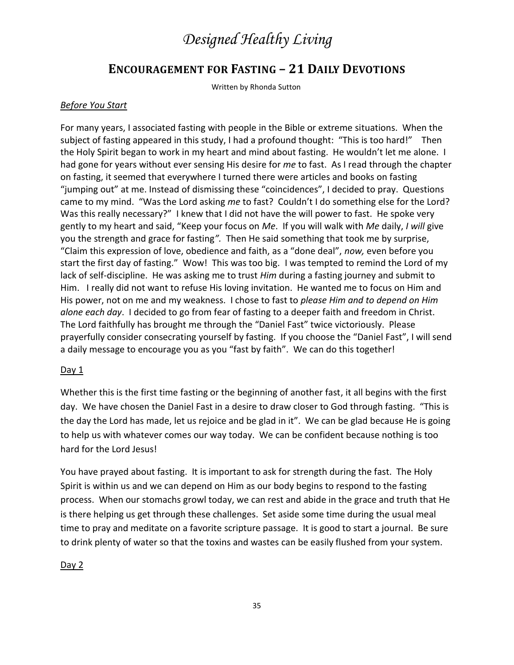### **ENCOURAGEMENT FOR FASTING – 21 DAILY DEVOTIONS**

Written by Rhonda Sutton

#### <span id="page-35-0"></span>*Before You Start*

For many years, I associated fasting with people in the Bible or extreme situations. When the subject of fasting appeared in this study, I had a profound thought: "This is too hard!" Then the Holy Spirit began to work in my heart and mind about fasting. He wouldn't let me alone. I had gone for years without ever sensing His desire for *me* to fast. As I read through the chapter on fasting, it seemed that everywhere I turned there were articles and books on fasting "jumping out" at me. Instead of dismissing these "coincidences", I decided to pray. Questions came to my mind. "Was the Lord asking *me* to fast? Couldn't I do something else for the Lord? Was this really necessary?" I knew that I did not have the will power to fast. He spoke very gently to my heart and said, "Keep your focus on *Me*. If you will walk with *Me* daily, *I will* give you the strength and grace for fasting*".* Then He said something that took me by surprise, "Claim this expression of love, obedience and faith, as a "done deal", *now,* even before you start the first day of fasting." Wow! This was too big. I was tempted to remind the Lord of my lack of self-discipline. He was asking me to trust *Him* during a fasting journey and submit to Him. I really did not want to refuse His loving invitation. He wanted me to focus on Him and His power, not on me and my weakness. I chose to fast to *please Him and to depend on Him alone each day*. I decided to go from fear of fasting to a deeper faith and freedom in Christ. The Lord faithfully has brought me through the "Daniel Fast" twice victoriously. Please prayerfully consider consecrating yourself by fasting. If you choose the "Daniel Fast", I will send a daily message to encourage you as you "fast by faith". We can do this together!

#### Day 1

Whether this is the first time fasting or the beginning of another fast, it all begins with the first day. We have chosen the Daniel Fast in a desire to draw closer to God through fasting. "This is the day the Lord has made, let us rejoice and be glad in it". We can be glad because He is going to help us with whatever comes our way today. We can be confident because nothing is too hard for the Lord Jesus!

You have prayed about fasting. It is important to ask for strength during the fast. The Holy Spirit is within us and we can depend on Him as our body begins to respond to the fasting process. When our stomachs growl today, we can rest and abide in the grace and truth that He is there helping us get through these challenges. Set aside some time during the usual meal time to pray and meditate on a favorite scripture passage. It is good to start a journal. Be sure to drink plenty of water so that the toxins and wastes can be easily flushed from your system.

#### Day 2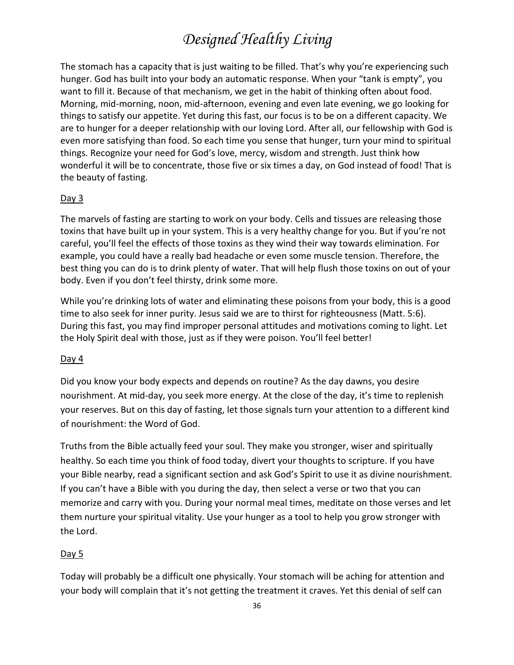The stomach has a capacity that is just waiting to be filled. That's why you're experiencing such hunger. God has built into your body an automatic response. When your "tank is empty", you want to fill it. Because of that mechanism, we get in the habit of thinking often about food. Morning, mid-morning, noon, mid-afternoon, evening and even late evening, we go looking for things to satisfy our appetite. Yet during this fast, our focus is to be on a different capacity. We are to hunger for a deeper relationship with our loving Lord. After all, our fellowship with God is even more satisfying than food. So each time you sense that hunger, turn your mind to spiritual things. Recognize your need for God's love, mercy, wisdom and strength. Just think how wonderful it will be to concentrate, those five or six times a day, on God instead of food! That is the beauty of fasting.

### Day 3

The marvels of fasting are starting to work on your body. Cells and tissues are releasing those toxins that have built up in your system. This is a very healthy change for you. But if you're not careful, you'll feel the effects of those toxins as they wind their way towards elimination. For example, you could have a really bad headache or even some muscle tension. Therefore, the best thing you can do is to drink plenty of water. That will help flush those toxins on out of your body. Even if you don't feel thirsty, drink some more.

While you're drinking lots of water and eliminating these poisons from your body, this is a good time to also seek for inner purity. Jesus said we are to thirst for righteousness (Matt. 5:6). During this fast, you may find improper personal attitudes and motivations coming to light. Let the Holy Spirit deal with those, just as if they were poison. You'll feel better!

### Day 4

Did you know your body expects and depends on routine? As the day dawns, you desire nourishment. At mid-day, you seek more energy. At the close of the day, it's time to replenish your reserves. But on this day of fasting, let those signals turn your attention to a different kind of nourishment: the Word of God.

Truths from the Bible actually feed your soul. They make you stronger, wiser and spiritually healthy. So each time you think of food today, divert your thoughts to scripture. If you have your Bible nearby, read a significant section and ask God's Spirit to use it as divine nourishment. If you can't have a Bible with you during the day, then select a verse or two that you can memorize and carry with you. During your normal meal times, meditate on those verses and let them nurture your spiritual vitality. Use your hunger as a tool to help you grow stronger with the Lord.

### Day 5

Today will probably be a difficult one physically. Your stomach will be aching for attention and your body will complain that it's not getting the treatment it craves. Yet this denial of self can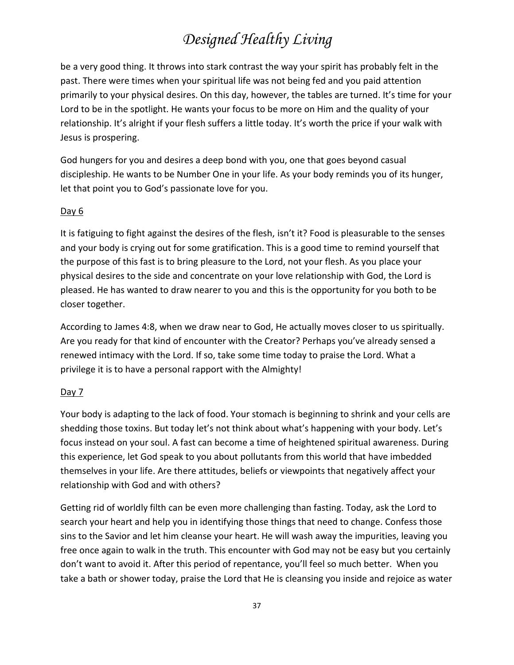be a very good thing. It throws into stark contrast the way your spirit has probably felt in the past. There were times when your spiritual life was not being fed and you paid attention primarily to your physical desires. On this day, however, the tables are turned. It's time for your Lord to be in the spotlight. He wants your focus to be more on Him and the quality of your relationship. It's alright if your flesh suffers a little today. It's worth the price if your walk with Jesus is prospering.

God hungers for you and desires a deep bond with you, one that goes beyond casual discipleship. He wants to be Number One in your life. As your body reminds you of its hunger, let that point you to God's passionate love for you.

#### Day  $6$

It is fatiguing to fight against the desires of the flesh, isn't it? Food is pleasurable to the senses and your body is crying out for some gratification. This is a good time to remind yourself that the purpose of this fast is to bring pleasure to the Lord, not your flesh. As you place your physical desires to the side and concentrate on your love relationship with God, the Lord is pleased. He has wanted to draw nearer to you and this is the opportunity for you both to be closer together.

According to James 4:8, when we draw near to God, He actually moves closer to us spiritually. Are you ready for that kind of encounter with the Creator? Perhaps you've already sensed a renewed intimacy with the Lord. If so, take some time today to praise the Lord. What a privilege it is to have a personal rapport with the Almighty!

### Day 7

Your body is adapting to the lack of food. Your stomach is beginning to shrink and your cells are shedding those toxins. But today let's not think about what's happening with your body. Let's focus instead on your soul. A fast can become a time of heightened spiritual awareness. During this experience, let God speak to you about pollutants from this world that have imbedded themselves in your life. Are there attitudes, beliefs or viewpoints that negatively affect your relationship with God and with others?

Getting rid of worldly filth can be even more challenging than fasting. Today, ask the Lord to search your heart and help you in identifying those things that need to change. Confess those sins to the Savior and let him cleanse your heart. He will wash away the impurities, leaving you free once again to walk in the truth. This encounter with God may not be easy but you certainly don't want to avoid it. After this period of repentance, you'll feel so much better. When you take a bath or shower today, praise the Lord that He is cleansing you inside and rejoice as water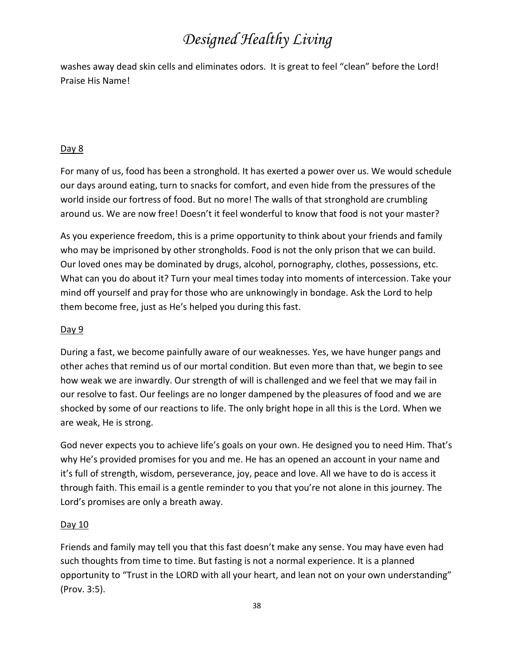washes away dead skin cells and eliminates odors. It is great to feel "clean" before the Lord! Praise His Name!

#### Day 8

For many of us, food has been a stronghold. It has exerted a power over us. We would schedule our days around eating, turn to snacks for comfort, and even hide from the pressures of the world inside our fortress of food. But no more! The walls of that stronghold are crumbling around us. We are now free! Doesn't it feel wonderful to know that food is not your master?

As you experience freedom, this is a prime opportunity to think about your friends and family who may be imprisoned by other strongholds. Food is not the only prison that we can build. Our loved ones may be dominated by drugs, alcohol, pornography, clothes, possessions, etc. What can you do about it? Turn your meal times today into moments of intercession. Take your mind off yourself and pray for those who are unknowingly in bondage. Ask the Lord to help them become free, just as He's helped you during this fast.

#### Day 9

During a fast, we become painfully aware of our weaknesses. Yes, we have hunger pangs and other aches that remind us of our mortal condition. But even more than that, we begin to see how weak we are inwardly. Our strength of will is challenged and we feel that we may fail in our resolve to fast. Our feelings are no longer dampened by the pleasures of food and we are shocked by some of our reactions to life. The only bright hope in all this is the Lord. When we are weak, He is strong.

God never expects you to achieve life's goals on your own. He designed you to need Him. That's why He's provided promises for you and me. He has an opened an account in your name and it's full of strength, wisdom, perseverance, joy, peace and love. All we have to do is access it through faith. This email is a gentle reminder to you that you're not alone in this journey. The Lord's promises are only a breath away.

### Day 10

Friends and family may tell you that this fast doesn't make any sense. You may have even had such thoughts from time to time. But fasting is not a normal experience. It is a planned opportunity to "Trust in the LORD with all your heart, and lean not on your own understanding" (Prov. 3:5).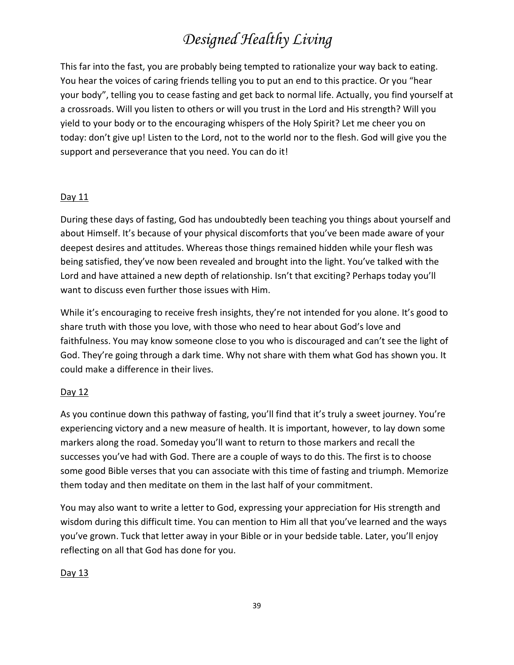This far into the fast, you are probably being tempted to rationalize your way back to eating. You hear the voices of caring friends telling you to put an end to this practice. Or you "hear your body", telling you to cease fasting and get back to normal life. Actually, you find yourself at a crossroads. Will you listen to others or will you trust in the Lord and His strength? Will you yield to your body or to the encouraging whispers of the Holy Spirit? Let me cheer you on today: don't give up! Listen to the Lord, not to the world nor to the flesh. God will give you the support and perseverance that you need. You can do it!

### Day 11

During these days of fasting, God has undoubtedly been teaching you things about yourself and about Himself. It's because of your physical discomforts that you've been made aware of your deepest desires and attitudes. Whereas those things remained hidden while your flesh was being satisfied, they've now been revealed and brought into the light. You've talked with the Lord and have attained a new depth of relationship. Isn't that exciting? Perhaps today you'll want to discuss even further those issues with Him.

While it's encouraging to receive fresh insights, they're not intended for you alone. It's good to share truth with those you love, with those who need to hear about God's love and faithfulness. You may know someone close to you who is discouraged and can't see the light of God. They're going through a dark time. Why not share with them what God has shown you. It could make a difference in their lives.

### Day 12

As you continue down this pathway of fasting, you'll find that it's truly a sweet journey. You're experiencing victory and a new measure of health. It is important, however, to lay down some markers along the road. Someday you'll want to return to those markers and recall the successes you've had with God. There are a couple of ways to do this. The first is to choose some good Bible verses that you can associate with this time of fasting and triumph. Memorize them today and then meditate on them in the last half of your commitment.

You may also want to write a letter to God, expressing your appreciation for His strength and wisdom during this difficult time. You can mention to Him all that you've learned and the ways you've grown. Tuck that letter away in your Bible or in your bedside table. Later, you'll enjoy reflecting on all that God has done for you.

### Day 13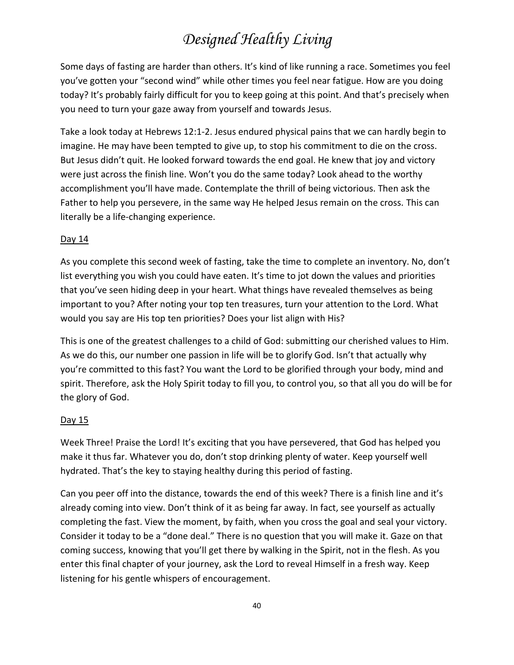Some days of fasting are harder than others. It's kind of like running a race. Sometimes you feel you've gotten your "second wind" while other times you feel near fatigue. How are you doing today? It's probably fairly difficult for you to keep going at this point. And that's precisely when you need to turn your gaze away from yourself and towards Jesus.

Take a look today at Hebrews 12:1-2. Jesus endured physical pains that we can hardly begin to imagine. He may have been tempted to give up, to stop his commitment to die on the cross. But Jesus didn't quit. He looked forward towards the end goal. He knew that joy and victory were just across the finish line. Won't you do the same today? Look ahead to the worthy accomplishment you'll have made. Contemplate the thrill of being victorious. Then ask the Father to help you persevere, in the same way He helped Jesus remain on the cross. This can literally be a life-changing experience.

### Day 14

As you complete this second week of fasting, take the time to complete an inventory. No, don't list everything you wish you could have eaten. It's time to jot down the values and priorities that you've seen hiding deep in your heart. What things have revealed themselves as being important to you? After noting your top ten treasures, turn your attention to the Lord. What would you say are His top ten priorities? Does your list align with His?

This is one of the greatest challenges to a child of God: submitting our cherished values to Him. As we do this, our number one passion in life will be to glorify God. Isn't that actually why you're committed to this fast? You want the Lord to be glorified through your body, mind and spirit. Therefore, ask the Holy Spirit today to fill you, to control you, so that all you do will be for the glory of God.

### Day 15

Week Three! Praise the Lord! It's exciting that you have persevered, that God has helped you make it thus far. Whatever you do, don't stop drinking plenty of water. Keep yourself well hydrated. That's the key to staying healthy during this period of fasting.

Can you peer off into the distance, towards the end of this week? There is a finish line and it's already coming into view. Don't think of it as being far away. In fact, see yourself as actually completing the fast. View the moment, by faith, when you cross the goal and seal your victory. Consider it today to be a "done deal." There is no question that you will make it. Gaze on that coming success, knowing that you'll get there by walking in the Spirit, not in the flesh. As you enter this final chapter of your journey, ask the Lord to reveal Himself in a fresh way. Keep listening for his gentle whispers of encouragement.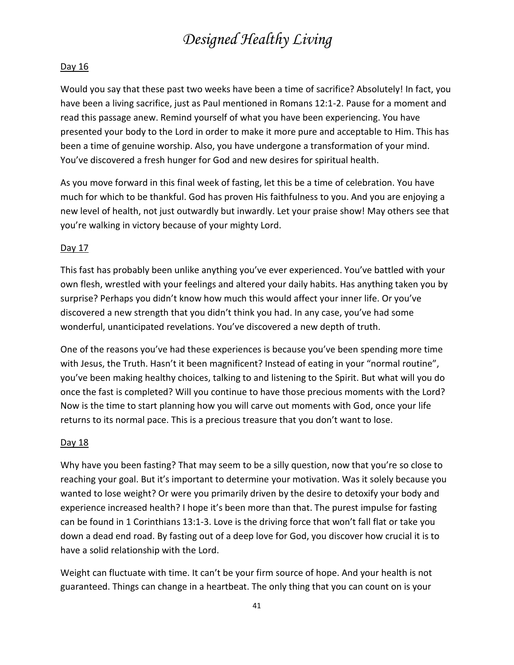### Day 16

Would you say that these past two weeks have been a time of sacrifice? Absolutely! In fact, you have been a living sacrifice, just as Paul mentioned in Romans 12:1-2. Pause for a moment and read this passage anew. Remind yourself of what you have been experiencing. You have presented your body to the Lord in order to make it more pure and acceptable to Him. This has been a time of genuine worship. Also, you have undergone a transformation of your mind. You've discovered a fresh hunger for God and new desires for spiritual health.

As you move forward in this final week of fasting, let this be a time of celebration. You have much for which to be thankful. God has proven His faithfulness to you. And you are enjoying a new level of health, not just outwardly but inwardly. Let your praise show! May others see that you're walking in victory because of your mighty Lord.

### Day 17

This fast has probably been unlike anything you've ever experienced. You've battled with your own flesh, wrestled with your feelings and altered your daily habits. Has anything taken you by surprise? Perhaps you didn't know how much this would affect your inner life. Or you've discovered a new strength that you didn't think you had. In any case, you've had some wonderful, unanticipated revelations. You've discovered a new depth of truth.

One of the reasons you've had these experiences is because you've been spending more time with Jesus, the Truth. Hasn't it been magnificent? Instead of eating in your "normal routine", you've been making healthy choices, talking to and listening to the Spirit. But what will you do once the fast is completed? Will you continue to have those precious moments with the Lord? Now is the time to start planning how you will carve out moments with God, once your life returns to its normal pace. This is a precious treasure that you don't want to lose.

### Day 18

Why have you been fasting? That may seem to be a silly question, now that you're so close to reaching your goal. But it's important to determine your motivation. Was it solely because you wanted to lose weight? Or were you primarily driven by the desire to detoxify your body and experience increased health? I hope it's been more than that. The purest impulse for fasting can be found in 1 Corinthians 13:1-3. Love is the driving force that won't fall flat or take you down a dead end road. By fasting out of a deep love for God, you discover how crucial it is to have a solid relationship with the Lord.

Weight can fluctuate with time. It can't be your firm source of hope. And your health is not guaranteed. Things can change in a heartbeat. The only thing that you can count on is your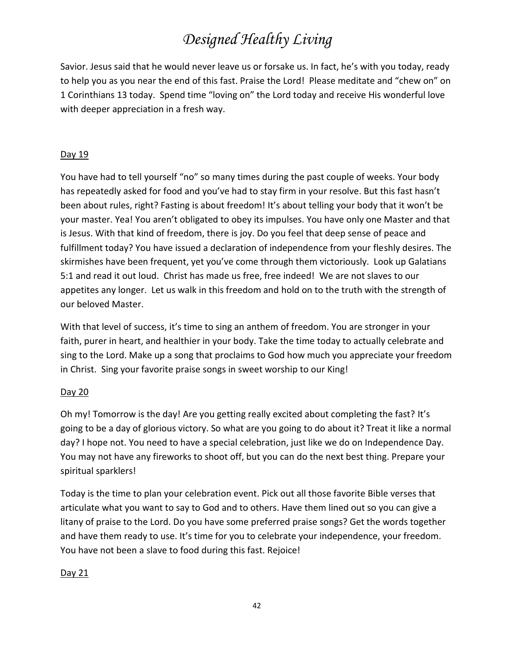Savior. Jesus said that he would never leave us or forsake us. In fact, he's with you today, ready to help you as you near the end of this fast. Praise the Lord! Please meditate and "chew on" on 1 Corinthians 13 today. Spend time "loving on" the Lord today and receive His wonderful love with deeper appreciation in a fresh way.

### Day 19

You have had to tell yourself "no" so many times during the past couple of weeks. Your body has repeatedly asked for food and you've had to stay firm in your resolve. But this fast hasn't been about rules, right? Fasting is about freedom! It's about telling your body that it won't be your master. Yea! You aren't obligated to obey its impulses. You have only one Master and that is Jesus. With that kind of freedom, there is joy. Do you feel that deep sense of peace and fulfillment today? You have issued a declaration of independence from your fleshly desires. The skirmishes have been frequent, yet you've come through them victoriously. Look up Galatians 5:1 and read it out loud. Christ has made us free, free indeed! We are not slaves to our appetites any longer. Let us walk in this freedom and hold on to the truth with the strength of our beloved Master.

With that level of success, it's time to sing an anthem of freedom. You are stronger in your faith, purer in heart, and healthier in your body. Take the time today to actually celebrate and sing to the Lord. Make up a song that proclaims to God how much you appreciate your freedom in Christ. Sing your favorite praise songs in sweet worship to our King!

### Day 20

Oh my! Tomorrow is the day! Are you getting really excited about completing the fast? It's going to be a day of glorious victory. So what are you going to do about it? Treat it like a normal day? I hope not. You need to have a special celebration, just like we do on Independence Day. You may not have any fireworks to shoot off, but you can do the next best thing. Prepare your spiritual sparklers!

Today is the time to plan your celebration event. Pick out all those favorite Bible verses that articulate what you want to say to God and to others. Have them lined out so you can give a litany of praise to the Lord. Do you have some preferred praise songs? Get the words together and have them ready to use. It's time for you to celebrate your independence, your freedom. You have not been a slave to food during this fast. Rejoice!

### Day 21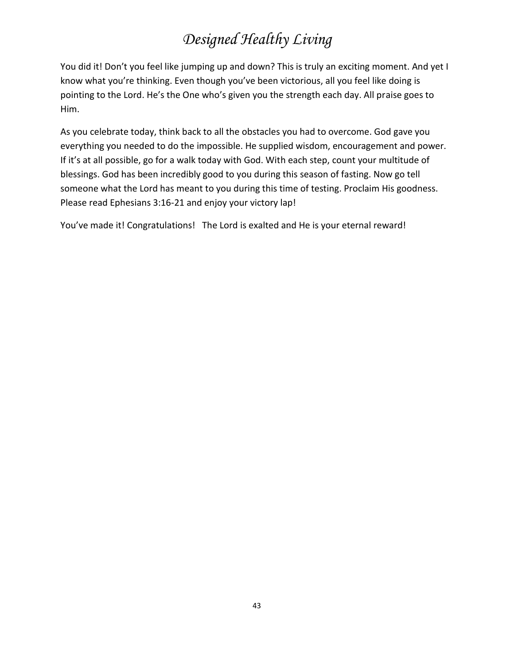You did it! Don't you feel like jumping up and down? This is truly an exciting moment. And yet I know what you're thinking. Even though you've been victorious, all you feel like doing is pointing to the Lord. He's the One who's given you the strength each day. All praise goes to Him.

As you celebrate today, think back to all the obstacles you had to overcome. God gave you everything you needed to do the impossible. He supplied wisdom, encouragement and power. If it's at all possible, go for a walk today with God. With each step, count your multitude of blessings. God has been incredibly good to you during this season of fasting. Now go tell someone what the Lord has meant to you during this time of testing. Proclaim His goodness. Please read Ephesians 3:16-21 and enjoy your victory lap!

You've made it! Congratulations! The Lord is exalted and He is your eternal reward!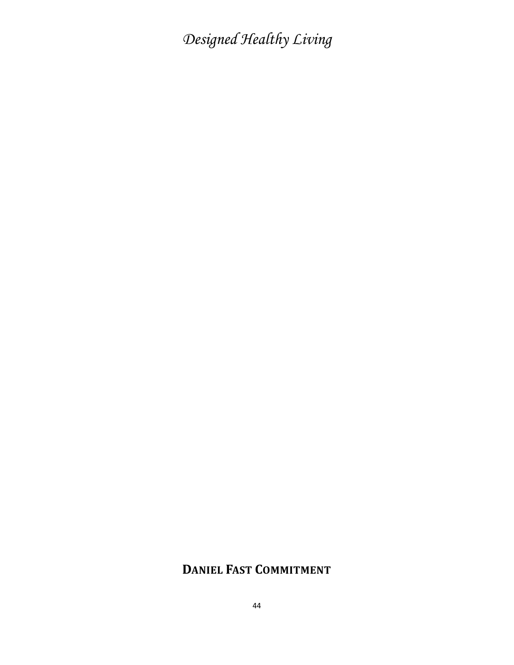### <span id="page-44-0"></span>**DANIEL FAST COMMITMENT**